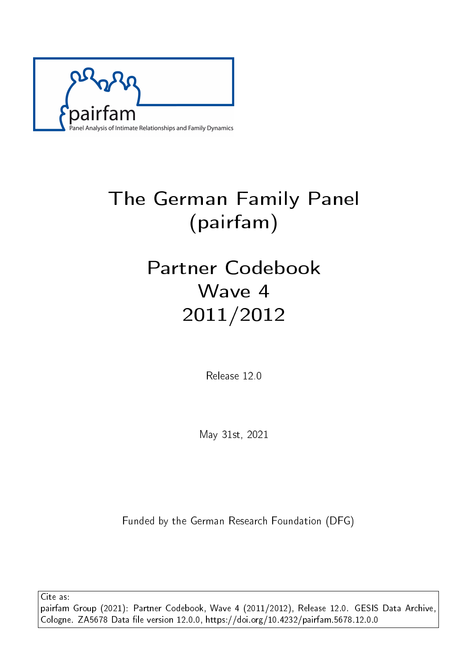

# The German Family Panel (pairfam)

# Partner Codebook Wave 4 2011/2012

Release 12.0

May 31st, 2021

Funded by the German Research Foundation (DFG)

Cite as: pairfam Group (2021): Partner Codebook, Wave 4 (2011/2012), Release 12.0. GESIS Data Archive, Cologne. ZA5678 Data file version 12.0.0, https://doi.org/10.4232/pairfam.5678.12.0.0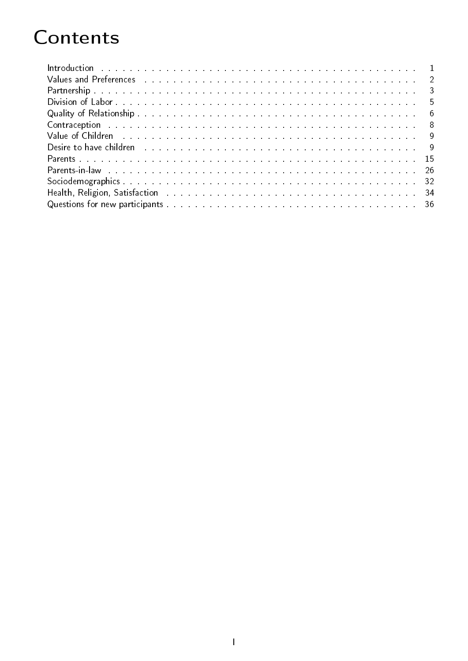# **Contents**

| Contraception and a subsequently and a subsequently and a subsequently and a subsequently and a subsequently a subsequently and $8$                                                                                                 |  |
|-------------------------------------------------------------------------------------------------------------------------------------------------------------------------------------------------------------------------------------|--|
| Value of Children <b>Experience Acts Acts and Children</b> Contracts and Children Contracts and Children Contracts and Children Contracts and Children Contracts and Children Contracts and Children Contracts and Children Contrac |  |
| Desire to have children and an annual contract the contract of the contract of the contract of the contract of the contract of the contract of the contract of the contract of the contract of the contract of the contract of      |  |
|                                                                                                                                                                                                                                     |  |
| Parents-in-law decompose the contract of the contract of the contract of the contract of the contract of the contract of the contract of the contract of the contract of the contract of the contract of the contract of the c      |  |
|                                                                                                                                                                                                                                     |  |
|                                                                                                                                                                                                                                     |  |
|                                                                                                                                                                                                                                     |  |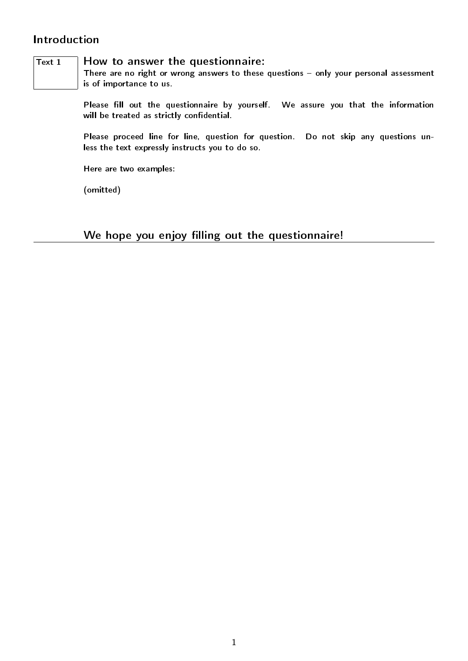## <span id="page-2-0"></span>Introduction

### $\overline{T_{\text{ext}} 1}$  How to answer the questionnaire:

There are no right or wrong answers to these questions  $-$  only your personal assessment is of importance to us.

Please fill out the questionnaire by yourself. We assure you that the information will be treated as strictly confidential.

Please proceed line for line, question for question. Do not skip any questions unless the text expressly instructs you to do so.

Here are two examples:

(omitted)

We hope you enjoy filling out the questionnaire!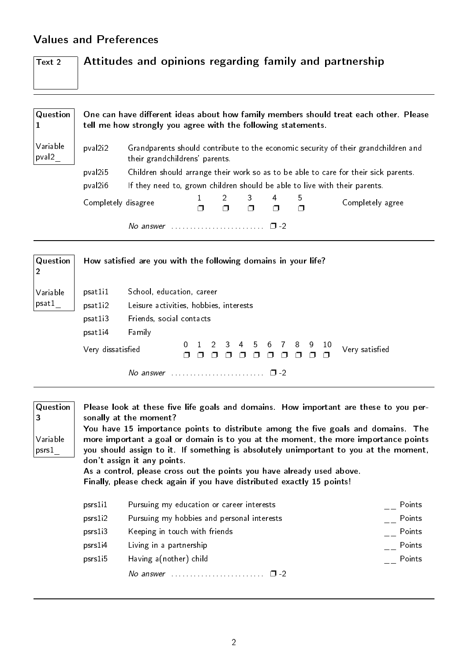## <span id="page-3-0"></span>Values and Preferences

| Text 2 | $\Box$ Attitudes and opinions regarding family and partnership |
|--------|----------------------------------------------------------------|
|        |                                                                |

| Question                      | One can have different ideas about how family members should treat each other. Please<br>tell me how strongly you agree with the following statements. |                                                                                                                      |   |             |                  |  |  |                                                                            |  |  |  |  |
|-------------------------------|--------------------------------------------------------------------------------------------------------------------------------------------------------|----------------------------------------------------------------------------------------------------------------------|---|-------------|------------------|--|--|----------------------------------------------------------------------------|--|--|--|--|
| Variable<br>pval <sub>2</sub> | pval2i2                                                                                                                                                | Grandparents should contribute to the economic security of their grandchildren and<br>their grandchildrens' parents. |   |             |                  |  |  |                                                                            |  |  |  |  |
|                               | pval2i5                                                                                                                                                | Children should arrange their work so as to be able to care for their sick parents.                                  |   |             |                  |  |  |                                                                            |  |  |  |  |
|                               | pval2i6                                                                                                                                                |                                                                                                                      |   |             |                  |  |  | If they need to, grown children should be able to live with their parents. |  |  |  |  |
|                               | Completely disagree                                                                                                                                    |                                                                                                                      | 4 | 5<br>$\Box$ | Completely agree |  |  |                                                                            |  |  |  |  |
|                               |                                                                                                                                                        | No answer $\ldots \ldots \ldots \ldots \ldots \ldots \square$ -2                                                     |   |             |                  |  |  |                                                                            |  |  |  |  |
|                               |                                                                                                                                                        |                                                                                                                      |   |             |                  |  |  |                                                                            |  |  |  |  |

| $\mid$ Question   |                                                                                                                                                       | How satisfied are you with the following domains in your life? |  |  |  |  |  |  |  |        |  |  |  |  |
|-------------------|-------------------------------------------------------------------------------------------------------------------------------------------------------|----------------------------------------------------------------|--|--|--|--|--|--|--|--------|--|--|--|--|
| Variable<br>psat1 | School, education, career<br>psat1i1<br>psat1i2<br>Leisure activities, hobbies, interests<br>Friends, social contacts<br>psat1i3<br>Family<br>psat1i4 |                                                                |  |  |  |  |  |  |  |        |  |  |  |  |
|                   | 1 2 3 4 5 6 7 8 9 10<br>Very satisfied<br>Very dissatisfied                                                                                           |                                                                |  |  |  |  |  |  |  |        |  |  |  |  |
|                   |                                                                                                                                                       | No answer                                                      |  |  |  |  |  |  |  | $\Box$ |  |  |  |  |

| Question<br>3<br>Variable<br>psrs1 |                      | Please look at these five life goals and domains. How important are these to you per-<br>sonally at the moment?<br>You have 15 importance points to distribute among the five goals and domains. The<br>more important a goal or domain is to you at the moment, the more importance points<br>you should assign to it. If something is absolutely unimportant to you at the moment,<br>don't assign it any points.<br>As a control, please cross out the points you have already used above.<br>Finally, please check again if you have distributed exactly 15 points! |        |  |
|------------------------------------|----------------------|-------------------------------------------------------------------------------------------------------------------------------------------------------------------------------------------------------------------------------------------------------------------------------------------------------------------------------------------------------------------------------------------------------------------------------------------------------------------------------------------------------------------------------------------------------------------------|--------|--|
|                                    | psrs1i1              | Pursuing my education or career interests                                                                                                                                                                                                                                                                                                                                                                                                                                                                                                                               | Points |  |
|                                    | psrsl <sub>12</sub>  | Pursuing my hobbies and personal interests                                                                                                                                                                                                                                                                                                                                                                                                                                                                                                                              | Points |  |
|                                    | psrsl <sub>i</sub> 3 | Keeping in touch with friends                                                                                                                                                                                                                                                                                                                                                                                                                                                                                                                                           | Points |  |
|                                    | psrs1i4              | Living in a partnership                                                                                                                                                                                                                                                                                                                                                                                                                                                                                                                                                 | Points |  |
|                                    | psrs1i5              | Having a(nother) child                                                                                                                                                                                                                                                                                                                                                                                                                                                                                                                                                  | Points |  |
|                                    |                      | No answer $\ldots \ldots \ldots \ldots \ldots \ldots \square$ -2                                                                                                                                                                                                                                                                                                                                                                                                                                                                                                        |        |  |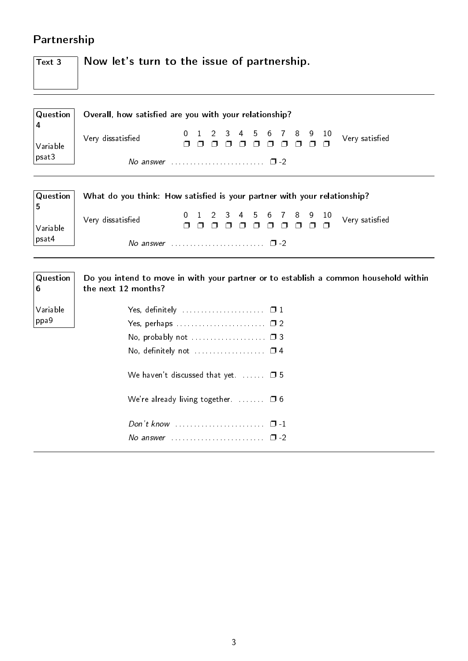# <span id="page-4-0"></span>Partnership

| $\vert$ Text 3 | $\overline{a}$ Now let's turn to the issue of partnership. |
|----------------|------------------------------------------------------------|
|                |                                                            |
|                |                                                            |
|                |                                                            |

| Question   Overall, how satisfied are you with your relationship? |  |  |  |  |  |  |  |  |  |  |  |  |
|-------------------------------------------------------------------|--|--|--|--|--|--|--|--|--|--|--|--|
| Variable Very dissatisfied<br>psat3<br>No answer                  |  |  |  |  |  |  |  |  |  |  |  |  |
| No answer $\ldots$ , $\ldots$ , $\ldots$ , $\Box$ -2              |  |  |  |  |  |  |  |  |  |  |  |  |

| $\vert$ Question $\vert$ | What do you think: How satisfied is your partner with your relationship? |  |  |  |  |  |  |
|--------------------------|--------------------------------------------------------------------------|--|--|--|--|--|--|
| $\vert$ Variable         | Very dissatisfied                                                        |  |  |  |  |  |  |
| $ $ psat4                | No answer $\cdots$ , $\cdots$ , $\cdots$ , $\Box$ -2                     |  |  |  |  |  |  |

| $\sqrt{\mathsf{Q}}$ uestion<br>6 | Do you intend to move in with your partner or to establish a common household within<br>the next 12 months? |
|----------------------------------|-------------------------------------------------------------------------------------------------------------|
| Variable                         |                                                                                                             |
| ppa9                             | Yes, perhaps $\ldots \ldots \ldots \ldots \ldots \ldots \square$ 2                                          |
|                                  | No, probably not $\ldots \ldots \ldots \ldots \ldots \square$ 3                                             |
|                                  | No, definitely not $\dots\dots\dots\dots\dots\dots \Box 4$                                                  |
|                                  | We haven't discussed that yet $\Box$ $\Box$ 5                                                               |
|                                  | We're already living together $\Box$ $\Box$ 6                                                               |
|                                  | Don't know $\ldots \ldots \ldots \ldots \ldots \ldots \quad \Box -1$                                        |
|                                  | No answer $\ldots$ $\ldots$ $\ldots$ $\ldots$ $\ldots$ $\Box$ -2                                            |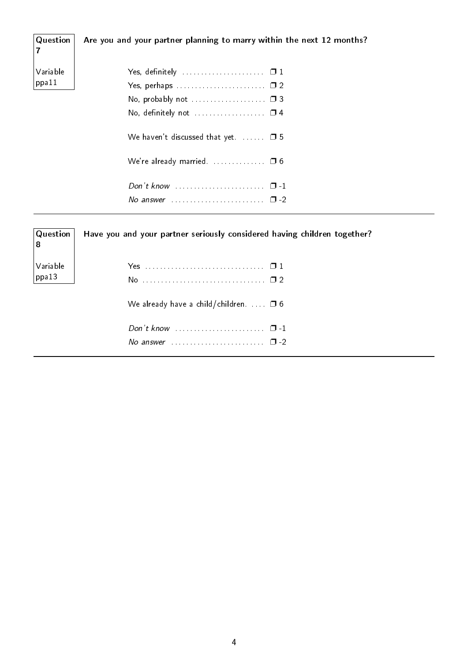| Question<br>7     | Are you and your partner planning to marry within the next 12 months?                                                                                                                                   |
|-------------------|---------------------------------------------------------------------------------------------------------------------------------------------------------------------------------------------------------|
| Variable<br>ppa11 | Yes, definitely $\ldots \ldots \ldots \ldots \ldots \ldots \square 1$<br>No, probably not $\ldots \ldots \ldots \ldots \ldots \square$ 3<br>No, definitely not $\dots\dots\dots\dots\dots \quad \Box$ 4 |
|                   | We haven't discussed that yet. $\Box$ 5                                                                                                                                                                 |
|                   | We're already married. $\ldots$ $\Box$ 6                                                                                                                                                                |
|                   |                                                                                                                                                                                                         |

| $\mid$ Question $\mid$<br>8 | Have you and your partner seriously considered having children together?                                     |
|-----------------------------|--------------------------------------------------------------------------------------------------------------|
| Variable<br>$ $ ppa13       |                                                                                                              |
|                             | We already have a child/children. $\Box$ 6                                                                   |
|                             | Don't know $\ldots \ldots \ldots \ldots \ldots \ldots \quad \Box$ -1<br>No answer $\cdots$ $\cdots$ $\cdots$ |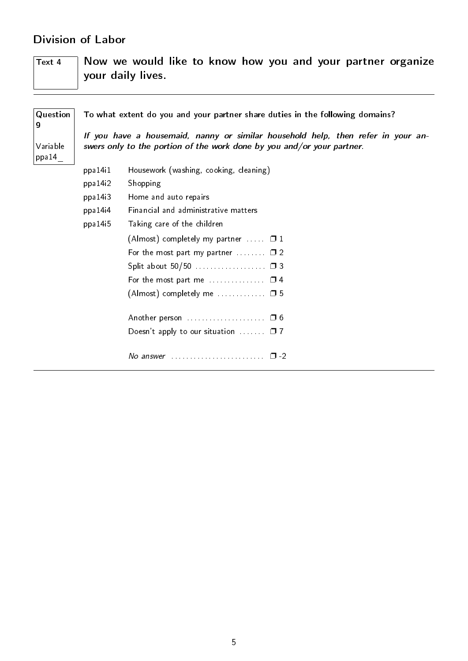## <span id="page-6-0"></span>Division of Labor

| Text 4 |  |                   |  |  |  |  | Now we would like to know how you and your partner organize |
|--------|--|-------------------|--|--|--|--|-------------------------------------------------------------|
|        |  | your daily lives. |  |  |  |  |                                                             |
|        |  |                   |  |  |  |  |                                                             |

| Question<br>9     | To what extent do you and your partner share duties in the following domains?                                                                              |                                                                     |  |  |  |  |  |  |  |  |  |
|-------------------|------------------------------------------------------------------------------------------------------------------------------------------------------------|---------------------------------------------------------------------|--|--|--|--|--|--|--|--|--|
| Variable<br>ppa14 | If you have a housemaid, nanny or similar household help, then refer in your an-<br>swers only to the portion of the work done by you and/or your partner. |                                                                     |  |  |  |  |  |  |  |  |  |
|                   | ppa14i1                                                                                                                                                    | Housework (washing, cooking, cleaning)                              |  |  |  |  |  |  |  |  |  |
|                   | ppa 14i2                                                                                                                                                   | Shopping                                                            |  |  |  |  |  |  |  |  |  |
|                   | ppa 14i3                                                                                                                                                   | Home and auto repairs                                               |  |  |  |  |  |  |  |  |  |
|                   | ppa 14i4                                                                                                                                                   | Financial and administrative matters                                |  |  |  |  |  |  |  |  |  |
|                   | ppa 14 <sub>15</sub>                                                                                                                                       | Taking care of the children                                         |  |  |  |  |  |  |  |  |  |
|                   |                                                                                                                                                            | (Almost) completely my partner $\dots$ $\Box$ 1                     |  |  |  |  |  |  |  |  |  |
|                   |                                                                                                                                                            | For the most part my partner $\dots \dots \dots \square$ 2          |  |  |  |  |  |  |  |  |  |
|                   |                                                                                                                                                            |                                                                     |  |  |  |  |  |  |  |  |  |
|                   |                                                                                                                                                            | For the most part me $\dots\dots\dots\dots \quad \Box$ 4            |  |  |  |  |  |  |  |  |  |
|                   |                                                                                                                                                            | $(Almost)$ completely me $\Box$ 5                                   |  |  |  |  |  |  |  |  |  |
|                   |                                                                                                                                                            |                                                                     |  |  |  |  |  |  |  |  |  |
|                   |                                                                                                                                                            | Doesn't apply to our situation $\Box$ $\Box$ 7                      |  |  |  |  |  |  |  |  |  |
|                   |                                                                                                                                                            | No answer $\ldots \ldots \ldots \ldots \ldots \ldots \quad \Box$ -2 |  |  |  |  |  |  |  |  |  |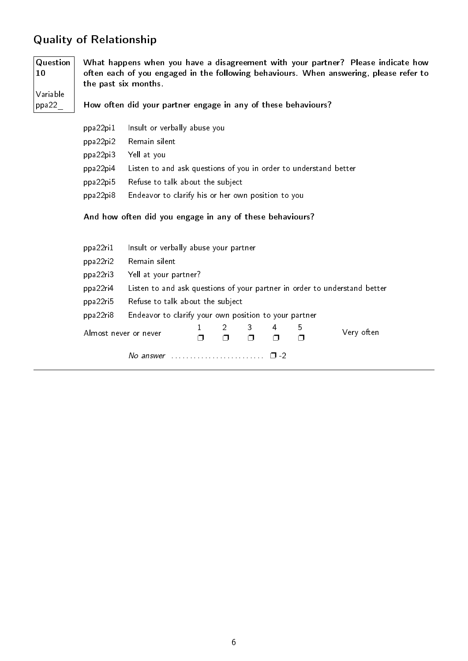## <span id="page-7-0"></span>Quality of Relationship

Question 10 What happens when you have a disagreement with your partner? Please indicate how often each of you engaged in the following behaviours. When answering, please refer to the past six months.

Variable ppa22\_ How often did your partner engage in any of these behaviours?

| Insult or verbally abuse you                                     |
|------------------------------------------------------------------|
| Remain silent                                                    |
| Yell at you                                                      |
| Listen to and ask questions of you in order to understand better |
| Refuse to talk about the subject                                 |
| Endeavor to clarify his or her own position to you               |
|                                                                  |

And how often did you engage in any of these behaviours?

| ppa22ri1              | Insult or verbally abuse your partner                                     |                                  |          |   |   |   |            |  |  |  |
|-----------------------|---------------------------------------------------------------------------|----------------------------------|----------|---|---|---|------------|--|--|--|
| ppa22ri2              | Remain silent                                                             |                                  |          |   |   |   |            |  |  |  |
| ppa22ri3              |                                                                           | Yell at your partner?            |          |   |   |   |            |  |  |  |
| ppa22ri4              | Listen to and ask questions of your partner in order to understand better |                                  |          |   |   |   |            |  |  |  |
| ppa22ri5              |                                                                           | Refuse to talk about the subject |          |   |   |   |            |  |  |  |
| ppa22ri8              | Endeavor to clarify your own position to your partner                     |                                  |          |   |   |   |            |  |  |  |
|                       | Almost never or never                                                     |                                  | $2 \Box$ | 3 | 4 | 5 | Very often |  |  |  |
| No answer<br>$\Box$ 2 |                                                                           |                                  |          |   |   |   |            |  |  |  |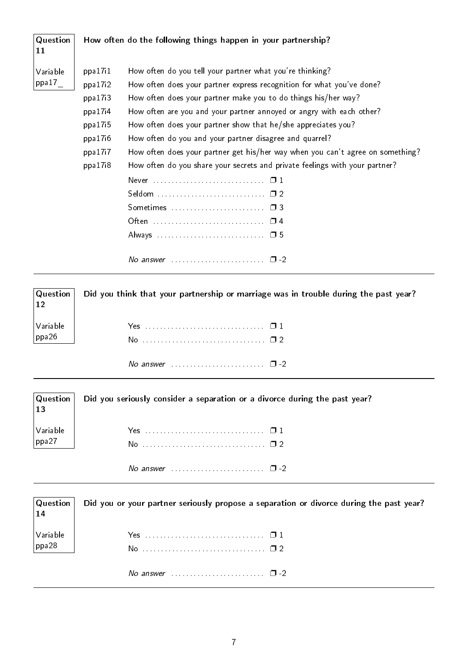| Question<br>11    |                                                                                           | How often do the following things happen in your partnership?                                                                                                                                                                                                                                                                                                                                                                                                                                                                                                                                                                                             |
|-------------------|-------------------------------------------------------------------------------------------|-----------------------------------------------------------------------------------------------------------------------------------------------------------------------------------------------------------------------------------------------------------------------------------------------------------------------------------------------------------------------------------------------------------------------------------------------------------------------------------------------------------------------------------------------------------------------------------------------------------------------------------------------------------|
| Variable<br>ppa17 | ppa 17i1<br>ppa 17i2<br>ppa17i3<br>ppa 17i4<br>ppa17i5<br>ppa 17i6<br>ppa17i7<br>ppa 17i8 | How often do you tell your partner what you're thinking?<br>How often does your partner express recognition for what you've done?<br>How often does your partner make you to do things his/her way?<br>How often are you and your partner annoyed or angry with each other?<br>How often does your partner show that he/she appreciates you?<br>How often do you and your partner disagree and quarrel?<br>How often does your partner get his/her way when you can't agree on something?<br>How often do you share your secrets and private feelings with your partner?<br>Sometimes $\ldots$ $\ldots$ $\ldots$ $\ldots$ $\ldots$ $\Box$ 3<br>Often  □ 4 |
|                   |                                                                                           | No answer $\ldots \ldots \ldots \ldots \ldots \ldots \square$ -2                                                                                                                                                                                                                                                                                                                                                                                                                                                                                                                                                                                          |

| $\vert$ Question $\vert$<br> 12                                         | Did you think that your partnership or marriage was in trouble during the past year? |
|-------------------------------------------------------------------------|--------------------------------------------------------------------------------------|
| $\bigg \begin{array}{c} \textsf{Variable} \ \textsf{ppa26} \end{array}$ |                                                                                      |
|                                                                         | No answer $\ldots \ldots \ldots \ldots \ldots \ldots \square$ -2                     |

|    | $\vert$ Question $\vert$ Did you seriously consider a separation or a divorce during the past year? |
|----|-----------------------------------------------------------------------------------------------------|
| 13 |                                                                                                     |
|    |                                                                                                     |

| $\begin{array}{ l } \text{Variable} \\ \text{ppa27} \end{array}$ | Yes $\Box$ 1                                                            |  |
|------------------------------------------------------------------|-------------------------------------------------------------------------|--|
|                                                                  | No answer $\ldots \ldots \ldots \ldots \ldots \ldots \ldots \square$ -2 |  |

Question 14 Variable ppa28 Did you or your partner seriously propose a separation or divorce during the past year? Yes . . . . . . . . . . . . . . . . . . . . . . . . . . . . . . . . ❐ 1 No . . . . . . . . . . . . . . . . . . . . . . . . . . . . . . . . . ❐ 2 No answer . . . . . . . . . . . . . . . . . . . . . . . . . ❐ -2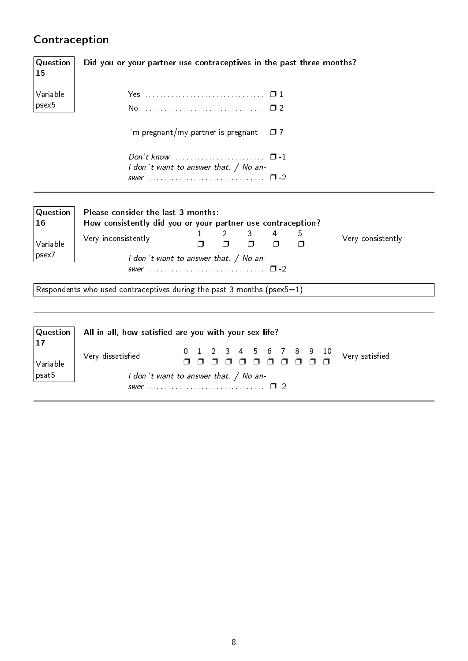# <span id="page-9-0"></span>Contraception

| Question<br>15 | Did you or your partner use contraceptives in the past three months?                              |
|----------------|---------------------------------------------------------------------------------------------------|
| Variable       |                                                                                                   |
| psex5          |                                                                                                   |
|                | I'm pregnant/my partner is pregnant<br>$\Box$ 7                                                   |
|                | Don't know $\cdots$ $\cdots$ $\cdots$ $\cdots$                                                    |
|                | I don't want to answer that. / No an-                                                             |
| Question<br>16 | Please consider the last 3 months:<br>How consistently did you or your partner use contraception? |
| Variable       | 3<br>4<br>5<br>Very inconsistently<br>Very consistently<br>$\Box$<br>П<br>⊓<br>⊓                  |
| psex7          | I don't want to answer that. / No an-                                                             |
|                | Respondents who used contraceptives during the past 3 months ( $p$ sex5=1)                        |
|                |                                                                                                   |

|                                                     | $ $ Question $ $ All in all, how satisfied are you with your sex life? |  |  |  |  |  |  |  |  |  |  |  |
|-----------------------------------------------------|------------------------------------------------------------------------|--|--|--|--|--|--|--|--|--|--|--|
| $\vert$ Variable $\vert$<br>$_{\shortmid}$ psat $5$ | Very dissatisfied                                                      |  |  |  |  |  |  |  |  |  |  |  |
|                                                     | I don't want to answer that. / No an-                                  |  |  |  |  |  |  |  |  |  |  |  |
|                                                     |                                                                        |  |  |  |  |  |  |  |  |  |  |  |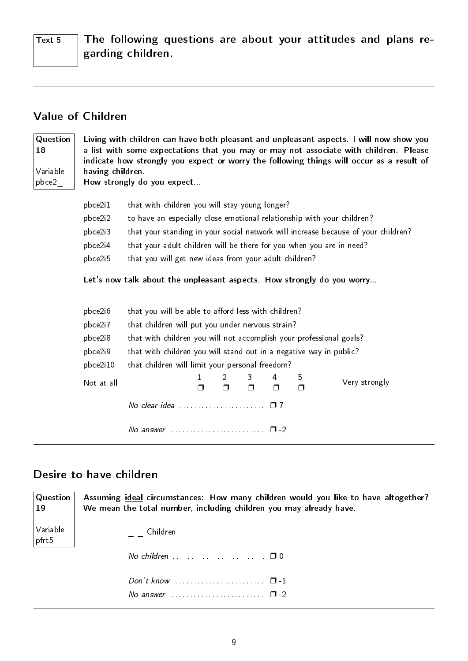$\overline{T_{\text{ext}}$  5 The following questions are about your attitudes and plans regarding children.

## <span id="page-10-0"></span>Value of Children

| Question<br>18<br>Variable | Living with children can have both pleasant and unpleasant aspects. I will now show you<br>a list with some expectations that you may or may not associate with children. Please<br>indicate how strongly you expect or worry the following things will occur as a result of<br>having children. |                                                                        |             |                                |             |        |             |                                                                                   |  |  |  |  |
|----------------------------|--------------------------------------------------------------------------------------------------------------------------------------------------------------------------------------------------------------------------------------------------------------------------------------------------|------------------------------------------------------------------------|-------------|--------------------------------|-------------|--------|-------------|-----------------------------------------------------------------------------------|--|--|--|--|
| pbce2                      | How strongly do you expect                                                                                                                                                                                                                                                                       |                                                                        |             |                                |             |        |             |                                                                                   |  |  |  |  |
|                            |                                                                                                                                                                                                                                                                                                  |                                                                        |             |                                |             |        |             |                                                                                   |  |  |  |  |
|                            | pbce2i1                                                                                                                                                                                                                                                                                          | that with children you will stay young longer?                         |             |                                |             |        |             |                                                                                   |  |  |  |  |
|                            | pbce2i2                                                                                                                                                                                                                                                                                          | to have an especially close emotional relationship with your children? |             |                                |             |        |             |                                                                                   |  |  |  |  |
|                            | pbce2i3                                                                                                                                                                                                                                                                                          |                                                                        |             |                                |             |        |             | that your standing in your social network will increase because of your children? |  |  |  |  |
|                            | pbce2i4                                                                                                                                                                                                                                                                                          | that your adult children will be there for you when you are in need?   |             |                                |             |        |             |                                                                                   |  |  |  |  |
|                            | pbce2i5                                                                                                                                                                                                                                                                                          | that you will get new ideas from your adult children?                  |             |                                |             |        |             |                                                                                   |  |  |  |  |
|                            |                                                                                                                                                                                                                                                                                                  | Let's now talk about the unpleasant aspects. How strongly do you worry |             |                                |             |        |             |                                                                                   |  |  |  |  |
|                            | pbce2i6                                                                                                                                                                                                                                                                                          | that you will be able to afford less with children?                    |             |                                |             |        |             |                                                                                   |  |  |  |  |
|                            | pbce2i7                                                                                                                                                                                                                                                                                          | that children will put you under nervous strain?                       |             |                                |             |        |             |                                                                                   |  |  |  |  |
|                            | pbce2i8                                                                                                                                                                                                                                                                                          | that with children you will not accomplish your professional goals?    |             |                                |             |        |             |                                                                                   |  |  |  |  |
|                            | pbce2i9                                                                                                                                                                                                                                                                                          | that with children you will stand out in a negative way in public?     |             |                                |             |        |             |                                                                                   |  |  |  |  |
|                            | pbce2i10                                                                                                                                                                                                                                                                                         | that children will limit your personal freedom?                        |             |                                |             |        |             |                                                                                   |  |  |  |  |
|                            | Not at all                                                                                                                                                                                                                                                                                       |                                                                        | 1<br>$\Box$ | $\mathbf{2}^{\circ}$<br>$\Box$ | 3<br>$\Box$ | 4<br>⊓ | 5<br>$\Box$ | Very strongly                                                                     |  |  |  |  |
|                            |                                                                                                                                                                                                                                                                                                  | No clear idea $\cdots$ $\cdots$ $\cdots$ $\cdots$                      |             |                                |             |        |             |                                                                                   |  |  |  |  |
|                            |                                                                                                                                                                                                                                                                                                  | No answer $\ldots \ldots \ldots \ldots \ldots \ldots \quad \Box$ -2    |             |                                |             |        |             |                                                                                   |  |  |  |  |

## <span id="page-10-1"></span>Desire to have children

| Question  <br>$ 19\rangle$ | Assuming <i>ideal</i> circumstances: How many children would you like to have altogether?<br>We mean the total number, including children you may already have. |
|----------------------------|-----------------------------------------------------------------------------------------------------------------------------------------------------------------|
| Variable<br>pfrt5          | Children                                                                                                                                                        |
|                            | No children $\ldots \ldots \ldots \ldots \ldots \ldots \square 0$                                                                                               |
|                            | Don't know $\cdots$ $\cdots$ $\cdots$<br>No answer $\ldots$ , $\ldots$ , $\ldots$ , $\Box$ -2                                                                   |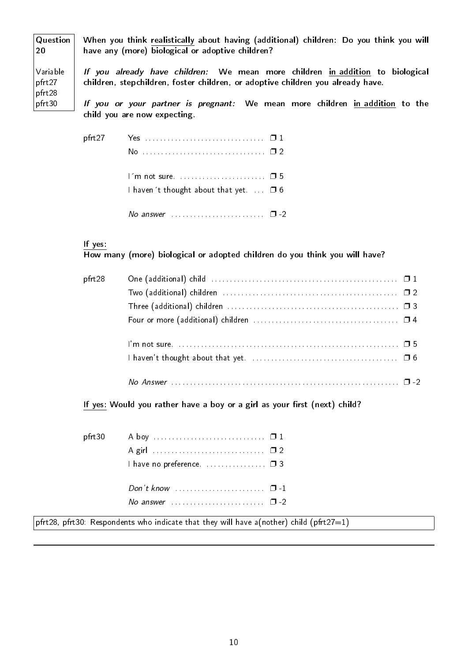Question 20 Variable pfrt27 pfrt28 pfrt30 When you think realistically about having (additional) children: Do you think you will have any (more) biological or adoptive children? If you already have children: We mean more children in addition to biological children, stepchildren, foster children, or adoptive children you already have. If you or your partner is pregnant: We mean more children in addition to the child you are now expecting.

| pfrt27 |                                                                     |  |
|--------|---------------------------------------------------------------------|--|
|        | No.                                                                 |  |
|        |                                                                     |  |
|        |                                                                     |  |
|        | I haven 't thought about that yet $\Box$ 6                          |  |
|        |                                                                     |  |
|        | No answer $\ldots \ldots \ldots \ldots \ldots \ldots \quad \Box$ -2 |  |

If yes:

How many (more) biological or adopted children do you think you will have?

| pfrt28 | One (additional) child $\dots\dots\dots\dots\dots\dots\dots\dots\dots\dots\dots\dots\dots\dots\Box 1$                       |
|--------|-----------------------------------------------------------------------------------------------------------------------------|
|        |                                                                                                                             |
|        | Three (additional) children $\ldots \ldots \ldots \ldots \ldots \ldots \ldots \ldots \ldots \ldots \ldots \ldots \square$ 3 |
|        |                                                                                                                             |
|        |                                                                                                                             |
|        |                                                                                                                             |
|        |                                                                                                                             |

If yes: Would you rather have a boy or a girl as your first (next) child?

| I have no preference.  0 3   |  |
|------------------------------|--|
|                              |  |
| No answer $\cdots$ $\Box$ -2 |  |

pfrt28, pfrt30: Respondents who indicate that they will have a(nother) child (pfrt27=1)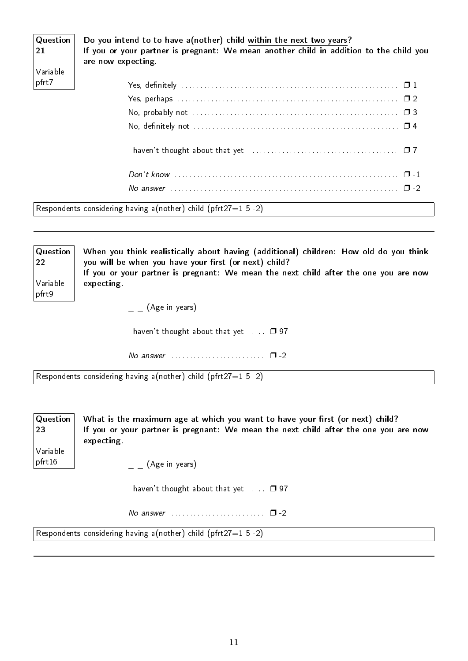| $\mid$ Question $\mid$<br>21<br>Variable | Do you intend to to have a (nother) child within the next two years?<br>If you or your partner is pregnant: We mean another child in addition to the child you<br>are now expecting. |
|------------------------------------------|--------------------------------------------------------------------------------------------------------------------------------------------------------------------------------------|
| $ $ pfrt7                                |                                                                                                                                                                                      |
|                                          |                                                                                                                                                                                      |
|                                          |                                                                                                                                                                                      |
|                                          |                                                                                                                                                                                      |
|                                          |                                                                                                                                                                                      |
|                                          |                                                                                                                                                                                      |
|                                          |                                                                                                                                                                                      |

Respondents considering having a(nother) child (pfrt27=1 5 -2)

**Question** 22 Variable pfrt9 When you think realistically about having (additional) children: How old do you think you will be when you have your first (or next) child? If you or your partner is pregnant: We mean the next child after the one you are now expecting.

 $=$   $($  Age in years)

I haven't thought about that yet.  $\ldots$   $\Box$  97

No answer  $\dots\dots\dots\dots\dots\dots \Box$  -2

Respondents considering having a(nother) child (pfrt27=1 5 -2)

| $\mid$ Question $\mid$<br> 23 | What is the maximum age at which you want to have your first (or next) child?<br>If you or your partner is pregnant: We mean the next child after the one you are now<br>expecting. |
|-------------------------------|-------------------------------------------------------------------------------------------------------------------------------------------------------------------------------------|
| Variable<br>pfrt16            | (Age in years)                                                                                                                                                                      |
|                               | I haven't thought about that yet. $\Box$ 97                                                                                                                                         |
|                               |                                                                                                                                                                                     |

Respondents considering having a(nother) child (pfrt27=1 5 -2)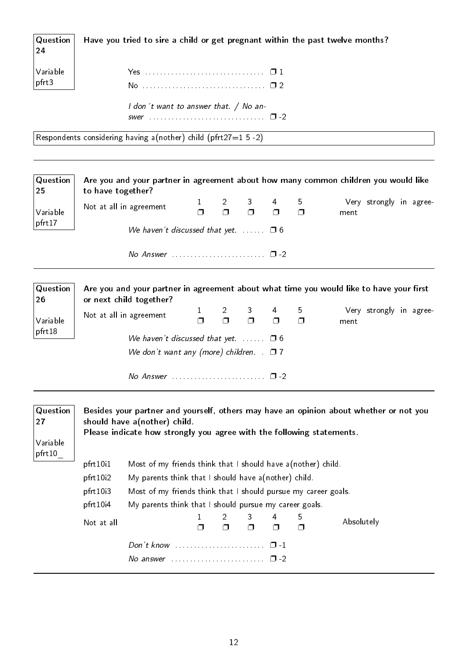| $\mathsf{Q}$ uestion<br>24 | Have you tried to sire a child or get pregnant within the past twelve months? |
|----------------------------|-------------------------------------------------------------------------------|
| Variable<br>pfrt3          |                                                                               |
|                            | I don't want to answer that. / No an-                                         |

Respondents considering having a(nother) child (pfrt27=1 5 -2)

| Question<br>25 | Are you and your partner in agreement about how many common children you would like<br>to have together? |                        |                             |        |                       |                          |                                                                                         |  |  |  |
|----------------|----------------------------------------------------------------------------------------------------------|------------------------|-----------------------------|--------|-----------------------|--------------------------|-----------------------------------------------------------------------------------------|--|--|--|
| Variable       | Not at all in agreement                                                                                  | $\mathbf{1}$<br>$\Box$ | $2 \qquad \qquad$<br>$\Box$ | $\Box$ | $3 \quad 4$<br>$\Box$ | 5<br>$\Box$              | Very strongly in agree-<br>ment                                                         |  |  |  |
| pfrt17         | We haven't discussed that yet. $\Box$ 5 6                                                                |                        |                             |        |                       |                          |                                                                                         |  |  |  |
|                | No Answer $\ldots \ldots \ldots \ldots \ldots \ldots \square$ -2                                         |                        |                             |        |                       |                          |                                                                                         |  |  |  |
| Question<br>26 | or next child together?                                                                                  |                        |                             |        |                       |                          | Are you and your partner in agreement about what time you would like to have your first |  |  |  |
| Variable       | Not at all in agreement                                                                                  | $\mathbf{1}$<br>$\Box$ | $\overline{2}$<br>$\Box$    | $\Box$ | 3 4<br>$\Box$         | 5 <sub>5</sub><br>$\Box$ | Very strongly in agree-<br>ment                                                         |  |  |  |
| pfrt18         | We haven't discussed that yet. $\Box$ 5 6                                                                |                        |                             |        |                       |                          |                                                                                         |  |  |  |
|                | We don't want any (more) children. $\Box$ 7                                                              |                        |                             |        |                       |                          |                                                                                         |  |  |  |
|                |                                                                                                          |                        |                             |        |                       |                          |                                                                                         |  |  |  |
| Question<br>27 | should have a (nother) child.                                                                            |                        |                             |        |                       |                          | Besides your partner and yourself, others may have an opinion about whether or not you  |  |  |  |

Please indicate how strongly you agree with the following statements.

| Variable |
|----------|
| pfrt10   |

pfrt10i1 Most of my friends think that I should have a(nother) child.

- pfrt10i2 My parents think that I should have a(nother) child.
- pfrt10i3 Most of my friends think that I should pursue my career goals.
- pfrt10i4 My parents think that I should pursue my career goals.

| Not at all |                                                      |  | $1 \quad 2 \quad 3 \quad 4 \quad 5$<br>n n n n n |  | Absolutely |
|------------|------------------------------------------------------|--|--------------------------------------------------|--|------------|
|            | No answer $\cdots$ , $\cdots$ , $\cdots$ , $\Box$ -2 |  |                                                  |  |            |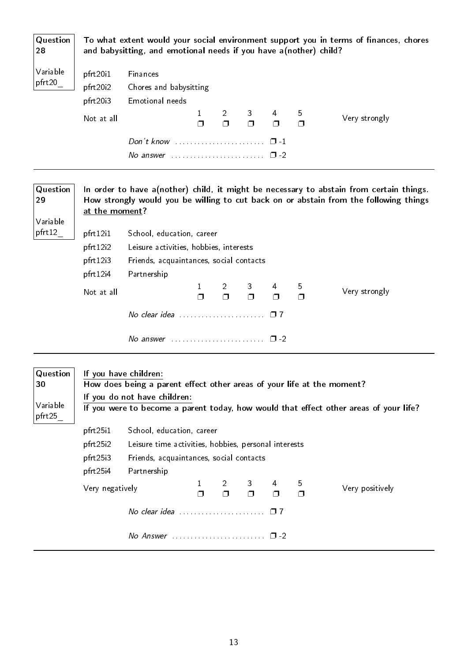| Question<br>28                       | To what extent would your social environment support you in terms of finances, chores<br>and babysitting, and emotional needs if you have a(nother) child? |                                                                                                                                 |              |                      |                |        |        |                                                                                                                                                                                  |  |
|--------------------------------------|------------------------------------------------------------------------------------------------------------------------------------------------------------|---------------------------------------------------------------------------------------------------------------------------------|--------------|----------------------|----------------|--------|--------|----------------------------------------------------------------------------------------------------------------------------------------------------------------------------------|--|
| Variable                             | pfrt20i1                                                                                                                                                   | Finances                                                                                                                        |              |                      |                |        |        |                                                                                                                                                                                  |  |
| pfrt20                               | pfrt20i2<br>Chores and babysitting                                                                                                                         |                                                                                                                                 |              |                      |                |        |        |                                                                                                                                                                                  |  |
|                                      | pfrt20i3                                                                                                                                                   | Emotional needs                                                                                                                 |              |                      |                |        |        |                                                                                                                                                                                  |  |
|                                      |                                                                                                                                                            |                                                                                                                                 | $\mathbf{1}$ | 2                    | 3 <sup>1</sup> | 4      | 5      |                                                                                                                                                                                  |  |
|                                      | Not at all                                                                                                                                                 |                                                                                                                                 | $\Box$       | $\Box$               | $\Box$         | $\Box$ | $\Box$ | Very strongly                                                                                                                                                                    |  |
|                                      |                                                                                                                                                            | Don't know $\ldots$ , $\ldots$ , $\ldots$ , $\Box$ -1                                                                           |              |                      |                |        |        |                                                                                                                                                                                  |  |
|                                      |                                                                                                                                                            | No answer $\ldots \ldots \ldots \ldots \ldots \ldots \square$ -2                                                                |              |                      |                |        |        |                                                                                                                                                                                  |  |
|                                      |                                                                                                                                                            |                                                                                                                                 |              |                      |                |        |        |                                                                                                                                                                                  |  |
| Question<br>29<br>Variable           | at the moment?                                                                                                                                             |                                                                                                                                 |              |                      |                |        |        | In order to have a(nother) child, it might be necessary to abstain from certain things.<br>How strongly would you be willing to cut back on or abstain from the following things |  |
| pfrt12                               | pfrt12i1                                                                                                                                                   | School, education, career                                                                                                       |              |                      |                |        |        |                                                                                                                                                                                  |  |
|                                      | pfrt12i2<br>Leisure activities, hobbies, interests                                                                                                         |                                                                                                                                 |              |                      |                |        |        |                                                                                                                                                                                  |  |
|                                      | pfrt12i3                                                                                                                                                   | Friends, acquaintances, social contacts                                                                                         |              |                      |                |        |        |                                                                                                                                                                                  |  |
|                                      | pfrt12i4                                                                                                                                                   | Partnership                                                                                                                     |              |                      |                |        |        |                                                                                                                                                                                  |  |
|                                      | Not at all                                                                                                                                                 |                                                                                                                                 | 1            | $\mathbf{2}^{\circ}$ | 3              | 4      | 5      | Very strongly                                                                                                                                                                    |  |
|                                      |                                                                                                                                                            |                                                                                                                                 | Ω            | $\Box$               | $\Box$         | $\Box$ | $\Box$ |                                                                                                                                                                                  |  |
|                                      |                                                                                                                                                            | No clear idea $\cdots$ $\cdots$ $\cdots$ $\cdots$ $\cdots$ $\Box$ 7                                                             |              |                      |                |        |        |                                                                                                                                                                                  |  |
|                                      |                                                                                                                                                            | No answer $\ldots \ldots \ldots \ldots \ldots \ldots \quad \Box$ -2                                                             |              |                      |                |        |        |                                                                                                                                                                                  |  |
| Question<br>30<br>Variable<br>pfrt25 |                                                                                                                                                            | If you have children:<br>How does being a parent effect other areas of your life at the moment?<br>If you do not have children: |              |                      |                |        |        | If you were to become a parent today, how would that effect other areas of your life?                                                                                            |  |
|                                      | pfrt25i1                                                                                                                                                   | School, education, career                                                                                                       |              |                      |                |        |        |                                                                                                                                                                                  |  |
|                                      | pfrt25i2                                                                                                                                                   | Leisure time activities, hobbies, personal interests                                                                            |              |                      |                |        |        |                                                                                                                                                                                  |  |
|                                      | pfrt25i3                                                                                                                                                   | Friends, acquaintances, social contacts                                                                                         |              |                      |                |        |        |                                                                                                                                                                                  |  |

pfrt25i4 Partnership 2

Very negatively  $\frac{1}{\Box}$  $\Box$  $\Box$ 3  $\Box$ 4  $\Box$ 5  $\Box$ Very positively No clear idea  $\dots\dots\dots\dots\dots\dots$   $\square$  7 No Answer . . . . . . . . . . . . . . . . . . . . . . . . . ❐ -2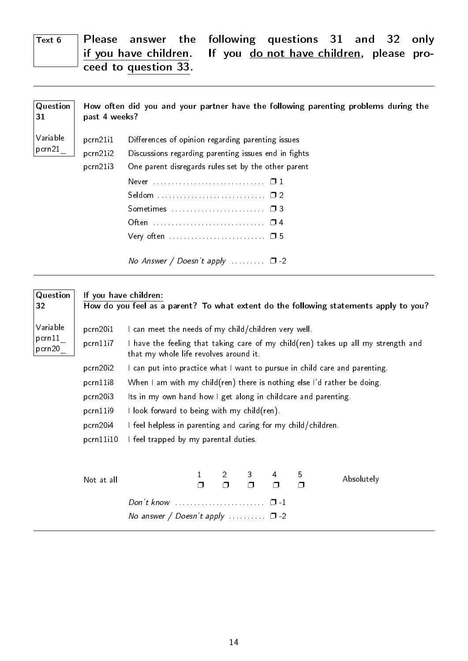## $Text 6$  Please answer the following questions 31 and 32 only if you have children. If you do not have children, please proceed to question 33.

| Question<br>31     | past 4 weeks?                    | How often did you and your partner have the following parenting problems during the                                                                                                                                                                                                                                                          |
|--------------------|----------------------------------|----------------------------------------------------------------------------------------------------------------------------------------------------------------------------------------------------------------------------------------------------------------------------------------------------------------------------------------------|
| Variable<br>pcrn21 | pcrn21i1<br>pcrn21i2<br>pcrn21i3 | Differences of opinion regarding parenting issues<br>Discussions regarding parenting issues end in fights<br>One parent disregards rules set by the other parent<br>Often  □ 4<br>Very often $\dots \dots \dots \dots \dots \dots \dots \dots \dots \dots \dots \dots \dots$<br>No Answer / Doesn't apply $\Box$ $\Box$ $\Box$ $\Box$ $\Box$ |
|                    |                                  |                                                                                                                                                                                                                                                                                                                                              |

| Question           | If you have children:                                                                 |                                                                                                                                           |                                                                                                               |                |        |        |        |            |  |  |
|--------------------|---------------------------------------------------------------------------------------|-------------------------------------------------------------------------------------------------------------------------------------------|---------------------------------------------------------------------------------------------------------------|----------------|--------|--------|--------|------------|--|--|
| 32                 | How do you feel as a parent? To what extent do the following statements apply to you? |                                                                                                                                           |                                                                                                               |                |        |        |        |            |  |  |
| Variable<br>pcrn11 | pcrn20i1                                                                              | I can meet the needs of my child/children very well.                                                                                      |                                                                                                               |                |        |        |        |            |  |  |
| pcrn20             | pcrn11i7                                                                              | I have the feeling that taking care of my child(ren) takes up all my strength and<br>that my whole life revolves around it.               |                                                                                                               |                |        |        |        |            |  |  |
|                    | pcrn20i2                                                                              | I can put into practice what I want to pursue in child care and parenting.                                                                |                                                                                                               |                |        |        |        |            |  |  |
|                    | pcrn11i8                                                                              | When I am with my child(ren) there is nothing else I'd rather be doing.<br>Its in my own hand how I get along in childcare and parenting. |                                                                                                               |                |        |        |        |            |  |  |
|                    | pcrn20i3                                                                              |                                                                                                                                           |                                                                                                               |                |        |        |        |            |  |  |
|                    | pcrn11i9                                                                              |                                                                                                                                           | I look forward to being with my child(ren).<br>I feel helpless in parenting and caring for my child/children. |                |        |        |        |            |  |  |
|                    | pcrn20i4                                                                              |                                                                                                                                           |                                                                                                               |                |        |        |        |            |  |  |
|                    | pcrn11i10                                                                             |                                                                                                                                           | I feel trapped by my parental duties.                                                                         |                |        |        |        |            |  |  |
|                    |                                                                                       |                                                                                                                                           |                                                                                                               | $\overline{2}$ |        | 4      | 5      | Absolutely |  |  |
|                    | Not at all                                                                            |                                                                                                                                           |                                                                                                               | $\Box$         | $\Box$ | $\Box$ | $\Box$ |            |  |  |
|                    |                                                                                       | Don't know $\ldots \ldots \ldots \ldots \ldots \ldots \quad \Box$ -1                                                                      |                                                                                                               |                |        |        |        |            |  |  |
|                    |                                                                                       | No answer / Doesn't apply $\ldots \ldots \square$ -2                                                                                      |                                                                                                               |                |        |        |        |            |  |  |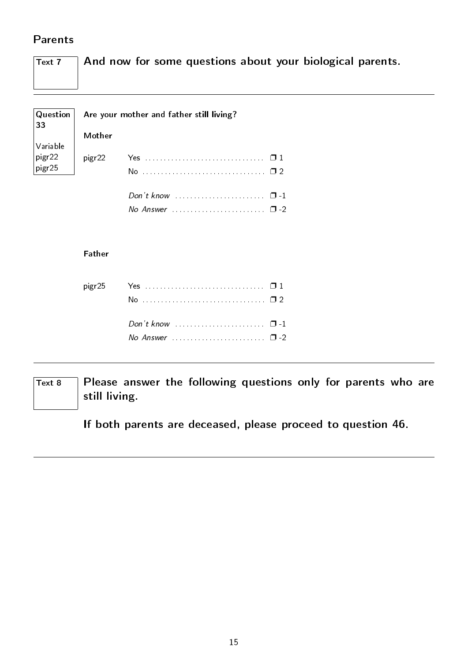## <span id="page-16-0"></span>Parents

| $\boxed{\mathsf{Text}}$ 7 $\Box$ And now for some questions about your biological parents. |
|--------------------------------------------------------------------------------------------|
|                                                                                            |

| $\vert$ Question $\vert$<br>$\overline{33}$                           | Are your mother and father still living? |    |  |  |  |  |
|-----------------------------------------------------------------------|------------------------------------------|----|--|--|--|--|
|                                                                       | Mother                                   |    |  |  |  |  |
| $\sqrt{}$ Variable                                                    |                                          |    |  |  |  |  |
| $\begin{array}{c} \boxed{\text{pigr22}} \\ \text{pigr25} \end{array}$ | pigr22                                   |    |  |  |  |  |
|                                                                       |                                          | N٥ |  |  |  |  |
|                                                                       |                                          |    |  |  |  |  |

No Answer  $\dots\dots\dots\dots\dots\dots\dots$   $\square$  -2

#### Father

| No Answer $\ldots$ , $\ldots$ , $\ldots$ , $\Box$ -2 |  |
|------------------------------------------------------|--|

 $\overline{T_{\text{ext 8}}}$  Please answer the following questions only for parents who are still living.

If both parents are deceased, please proceed to question 46.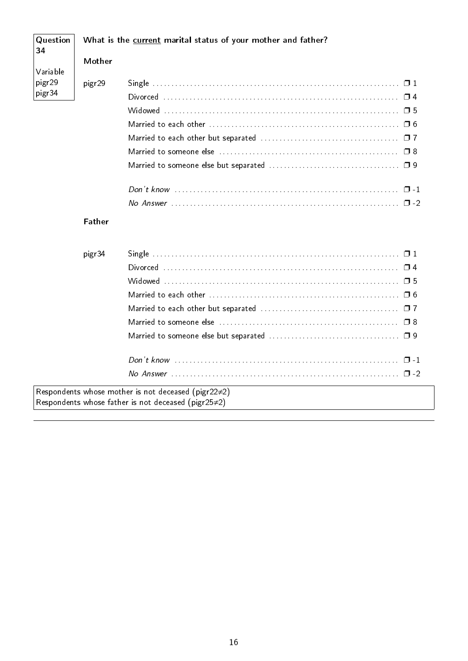| Question<br>34     |               | What is the current marital status of your mother and father? |
|--------------------|---------------|---------------------------------------------------------------|
|                    | Mother        |                                                               |
| Variable<br>pigr29 | pigr29        |                                                               |
| pigr34             |               |                                                               |
|                    |               |                                                               |
|                    |               |                                                               |
|                    |               |                                                               |
|                    |               |                                                               |
|                    |               |                                                               |
|                    |               |                                                               |
|                    |               |                                                               |
|                    | <b>Father</b> |                                                               |
|                    | pigr34        |                                                               |
|                    |               |                                                               |
|                    |               |                                                               |
|                    |               |                                                               |
|                    |               |                                                               |
|                    |               |                                                               |
|                    |               |                                                               |
|                    |               |                                                               |
|                    |               |                                                               |
|                    |               | Respondents whose mother is not deceased (pigr22 $\neq$ 2)    |
|                    |               | Respondents whose father is not deceased (pigr25 $\neq$ 2)    |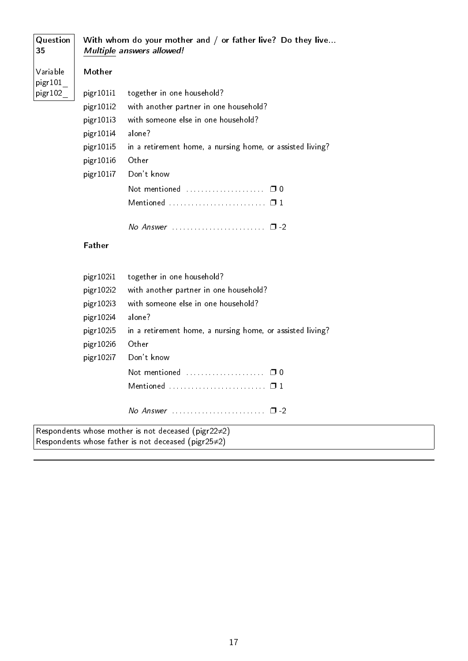| Question<br>35      |               | With whom do your mother and / or father live? Do they live<br>Multiple answers allowed! |
|---------------------|---------------|------------------------------------------------------------------------------------------|
| Variable<br>pigr101 | Mother        |                                                                                          |
| pigr102             | pigr101i1     | together in one household?                                                               |
|                     | pigr101i2     | with another partner in one household?                                                   |
|                     | pigr101i3     | with someone else in one household?                                                      |
|                     | pigr101i4     | alone?                                                                                   |
|                     | pigr101i5     | in a retirement home, a nursing home, or assisted living?                                |
|                     | pigr101i6     | Other                                                                                    |
|                     | pigr101i7     | Don't know                                                                               |
|                     |               | Not mentioned  0 0                                                                       |
|                     |               | Mentioned  0 1                                                                           |
|                     |               |                                                                                          |
|                     | <b>Father</b> |                                                                                          |
|                     | pigr102i1     | together in one household?                                                               |
|                     | pigr102i2     | with another partner in one household?                                                   |
|                     | pigr102i3     | with someone else in one household?                                                      |
|                     | pigr102i4     | alone?                                                                                   |
|                     | pigr102i5     | in a retirement home, a nursing home, or assisted living?                                |
|                     | pigr102i6     | Other                                                                                    |
|                     | pigr102i7     | Don't know                                                                               |
|                     |               | Not mentioned  00                                                                        |
|                     |               | Mentioned  0 1                                                                           |
|                     |               |                                                                                          |

Respondents whose father is not deceased (pigr25≠2)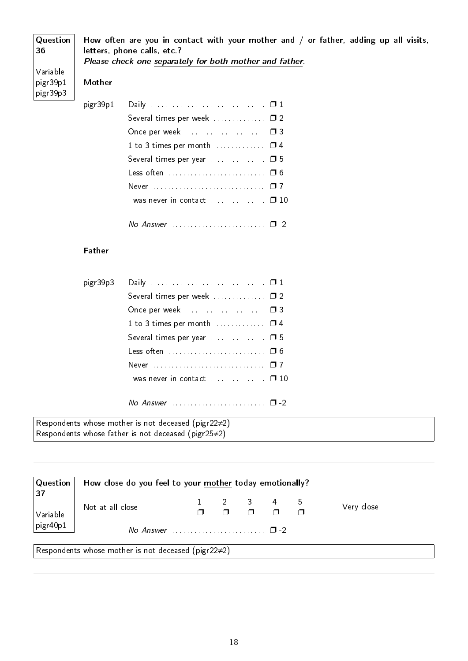| Question<br>36       | How often are you in contact with your mother and $/$ or father, adding up all visits,<br>letters, phone calls, etc.? |                                                         |  |  |  |
|----------------------|-----------------------------------------------------------------------------------------------------------------------|---------------------------------------------------------|--|--|--|
|                      |                                                                                                                       | Please check one separately for both mother and father. |  |  |  |
| Variable             |                                                                                                                       |                                                         |  |  |  |
| pigr39p1<br>pigr39p3 | Mother                                                                                                                |                                                         |  |  |  |
|                      | pigr39p1                                                                                                              |                                                         |  |  |  |
|                      |                                                                                                                       | Several times per week $\Box$ $\Box$ 2                  |  |  |  |
|                      |                                                                                                                       | Once per week  03                                       |  |  |  |
|                      |                                                                                                                       | 1 to 3 times per month $\Box$ $\Box$ $\Box$ 4           |  |  |  |
|                      |                                                                                                                       |                                                         |  |  |  |
|                      |                                                                                                                       | Less often  06                                          |  |  |  |
|                      |                                                                                                                       |                                                         |  |  |  |
|                      |                                                                                                                       | 1 was never in contact □ 10                             |  |  |  |
|                      |                                                                                                                       |                                                         |  |  |  |

#### Father

| pigr39p3 |                                                                    |  |
|----------|--------------------------------------------------------------------|--|
|          | Several times per week $\Box$ $\Box$ 2                             |  |
|          | Once per week  03                                                  |  |
|          | 1 to 3 times per month $\Box$ $\Box$ $\Box$ 4                      |  |
|          | Several times per year  0 5                                        |  |
|          | Less often  06                                                     |  |
|          |                                                                    |  |
|          | 1 was never in contact □ 10                                        |  |
|          |                                                                    |  |
|          | $No$ Answer $\ldots \ldots \ldots \ldots \ldots \ldots \square$ -2 |  |

Respondents whose mother is not deceased (pigr22≠2) Respondents whose father is not deceased (pigr25≠2)

| Question  <br>37<br>$ V$ ariable                           | How close do you feel to your mother today emotionally? |  |  |  |                                                                                                               |  |            |
|------------------------------------------------------------|---------------------------------------------------------|--|--|--|---------------------------------------------------------------------------------------------------------------|--|------------|
|                                                            | Not at all close                                        |  |  |  | $\begin{array}{ccccccccccccccccc}\n1 & 2 & 3 & 4 & 5 \\ \Box & \Box & \Box & \Box & \Box & \Box\n\end{array}$ |  | Very close |
| $ $ pigr40p1                                               |                                                         |  |  |  |                                                                                                               |  |            |
| Respondents whose mother is not deceased (pigr22 $\neq$ 2) |                                                         |  |  |  |                                                                                                               |  |            |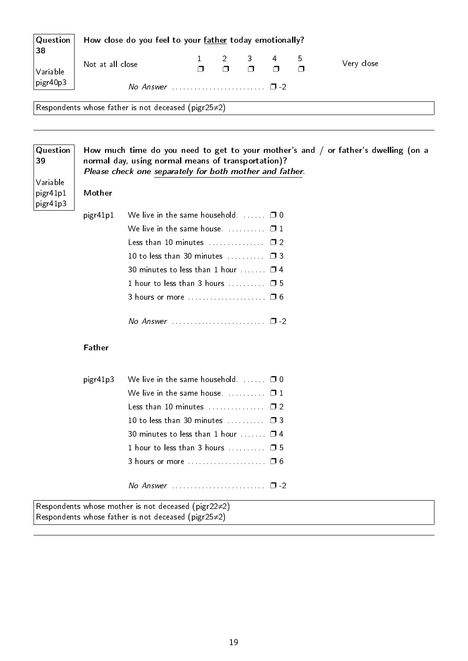| Question<br>38                   | How close do you feel to your father today emotionally? |                                                                                                               |   |        |        |        |   |                                                                                      |
|----------------------------------|---------------------------------------------------------|---------------------------------------------------------------------------------------------------------------|---|--------|--------|--------|---|--------------------------------------------------------------------------------------|
|                                  |                                                         |                                                                                                               | 1 | 2      | 3      | 4      | 5 | Very close                                                                           |
| Variable                         | Not at all close                                        |                                                                                                               | Ω | $\Box$ | $\Box$ | $\Box$ | Π |                                                                                      |
| pigr40p3                         |                                                         |                                                                                                               |   |        |        |        |   |                                                                                      |
|                                  |                                                         | Respondents whose father is not deceased (pigr25 $\neq$ 2)                                                    |   |        |        |        |   |                                                                                      |
|                                  |                                                         |                                                                                                               |   |        |        |        |   |                                                                                      |
| Question<br>39                   |                                                         | normal day, using normal means of transportation)?<br>Please check one separately for both mother and father. |   |        |        |        |   | How much time do you need to get to your mother's and $/$ or father's dwelling (on a |
| Variable<br>pigr41p1<br>pigr41p3 | Mother                                                  |                                                                                                               |   |        |        |        |   |                                                                                      |
|                                  | pigr41p1                                                | We live in the same household. $\Box$ $\Box$ 0                                                                |   |        |        |        |   |                                                                                      |
|                                  |                                                         | We live in the same house. $\Box$ $\Box$ 1                                                                    |   |        |        |        |   |                                                                                      |
|                                  |                                                         | Less than 10 minutes $\Box$ $\Box$ 2                                                                          |   |        |        |        |   |                                                                                      |
|                                  |                                                         | 10 to less than 30 minutes $\Box$ $\Box$ 3                                                                    |   |        |        |        |   |                                                                                      |
|                                  |                                                         | 30 minutes to less than 1 hour $\ldots$ $\Box$ 4                                                              |   |        |        |        |   |                                                                                      |
|                                  |                                                         | 1 hour to less than 3 hours $\ldots \ldots \square$ 5                                                         |   |        |        |        |   |                                                                                      |
|                                  |                                                         | 3 hours or more  0 6                                                                                          |   |        |        |        |   |                                                                                      |
|                                  |                                                         |                                                                                                               |   |        |        |        |   |                                                                                      |
|                                  | Father                                                  |                                                                                                               |   |        |        |        |   |                                                                                      |
|                                  | pigr41p3                                                | We live in the same household. $\Box$ $\Box$ 0                                                                |   |        |        |        |   |                                                                                      |
|                                  |                                                         | We live in the same house. $\ldots \ldots \ldots \square 1$                                                   |   |        |        |        |   |                                                                                      |
|                                  |                                                         | Less than 10 minutes $\Box$ $\Box$ $\Box$ 2                                                                   |   |        |        |        |   |                                                                                      |
|                                  |                                                         | 10 to less than 30 minutes $\Box$ 3                                                                           |   |        |        |        |   |                                                                                      |
|                                  |                                                         | 30 minutes to less than 1 hour $\ldots$ $\Box$ 4                                                              |   |        |        |        |   |                                                                                      |
|                                  |                                                         | 1 hour to less than 3 hours $\Box$ $\Box$ 5                                                                   |   |        |        |        |   |                                                                                      |
|                                  |                                                         |                                                                                                               |   |        |        |        |   |                                                                                      |
|                                  |                                                         | No Answer $\ldots \ldots \ldots \ldots \ldots \ldots \quad \Box$ -2                                           |   |        |        |        |   |                                                                                      |

Respondents whose mother is not deceased (pigr22≠2) Respondents whose father is not deceased (pigr25≠2)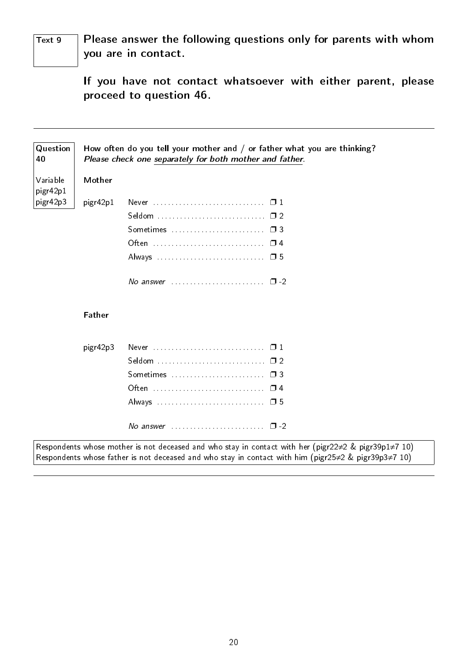$Text 9$  Please answer the following questions only for parents with whom you are in contact.

> If you have not contact whatsoever with either parent, please proceed to question 46.

| Question<br>40       |               | How often do you tell your mother and / or father what you are thinking?<br>Please check one separately for both mother and father.                                                                                                      |
|----------------------|---------------|------------------------------------------------------------------------------------------------------------------------------------------------------------------------------------------------------------------------------------------|
| Variable<br>pigr42p1 | Mother        |                                                                                                                                                                                                                                          |
| pigr42p3             | pigr42p1      |                                                                                                                                                                                                                                          |
|                      |               |                                                                                                                                                                                                                                          |
|                      |               | Sometimes  03                                                                                                                                                                                                                            |
|                      |               |                                                                                                                                                                                                                                          |
|                      |               |                                                                                                                                                                                                                                          |
|                      |               | No answer $\ldots$ , $\ldots$ , $\Box$ -2                                                                                                                                                                                                |
|                      | <b>Father</b> |                                                                                                                                                                                                                                          |
|                      | pigr42p3      | Never $\ldots$ $\ldots$ $\ldots$ $\ldots$ $\ldots$ $\ldots$                                                                                                                                                                              |
|                      |               | Seldom  02                                                                                                                                                                                                                               |
|                      |               | Sometimes  03                                                                                                                                                                                                                            |
|                      |               |                                                                                                                                                                                                                                          |
|                      |               |                                                                                                                                                                                                                                          |
|                      |               | No answer $\ldots$ , $\Box$ -2                                                                                                                                                                                                           |
|                      |               | Respondents whose mother is not deceased and who stay in contact with her (pigr22 $\neq$ 2 & pigr39p1 $\neq$ 7 10)<br>Respondents whose father is not deceased and who stay in contact with him (pigr25 $\neq$ 2 & pigr39p3 $\neq$ 7 10) |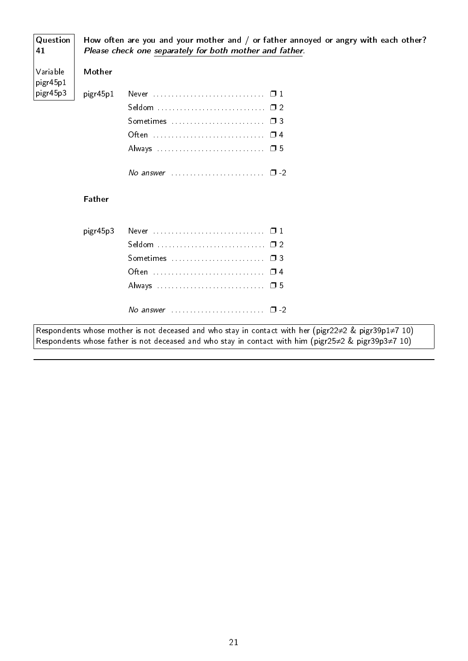| Question<br>41       |               | How often are you and your mother and / or father annoyed or angry with each other?<br>Please check one separately for both mother and father.                                                                                           |
|----------------------|---------------|------------------------------------------------------------------------------------------------------------------------------------------------------------------------------------------------------------------------------------------|
| Variable<br>pigr45p1 | Mother        |                                                                                                                                                                                                                                          |
| pigr45p3             | pigr45p1      |                                                                                                                                                                                                                                          |
|                      |               |                                                                                                                                                                                                                                          |
|                      |               |                                                                                                                                                                                                                                          |
|                      |               |                                                                                                                                                                                                                                          |
|                      |               |                                                                                                                                                                                                                                          |
|                      |               | No answer $\cdots$ $\Box$ -2                                                                                                                                                                                                             |
|                      | <b>Father</b> |                                                                                                                                                                                                                                          |
|                      | pigr45p3      |                                                                                                                                                                                                                                          |
|                      |               |                                                                                                                                                                                                                                          |
|                      |               |                                                                                                                                                                                                                                          |
|                      |               |                                                                                                                                                                                                                                          |
|                      |               |                                                                                                                                                                                                                                          |
|                      |               | No answer $\ldots$ , $\ldots$ , $\ldots$ , $\Box$ -2                                                                                                                                                                                     |
|                      |               | Respondents whose mother is not deceased and who stay in contact with her (pigr22 $\neq$ 2 & pigr39p1 $\neq$ 7 10)<br>Respondents whose father is not deceased and who stay in contact with him (pigr25 $\neq$ 2 & pigr39p3 $\neq$ 7 10) |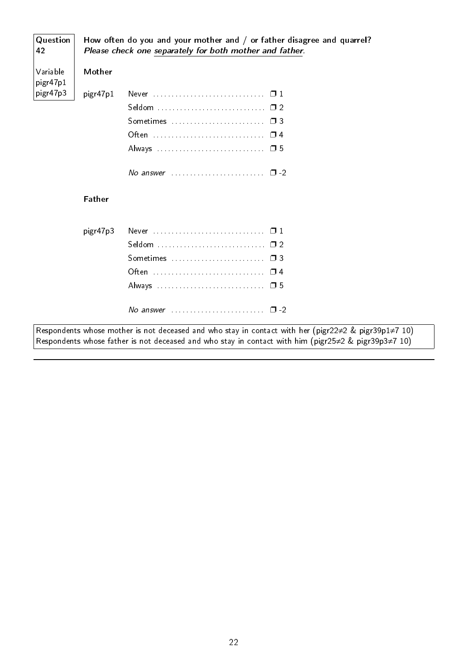| Question<br>42       |               | How often do you and your mother and / or father disagree and quarrel?<br>Please check one separately for both mother and father.                                                                                          |
|----------------------|---------------|----------------------------------------------------------------------------------------------------------------------------------------------------------------------------------------------------------------------------|
| Variable<br>pigr47p1 | Mother        |                                                                                                                                                                                                                            |
| pigr47p3             | pigr47p1      |                                                                                                                                                                                                                            |
|                      |               |                                                                                                                                                                                                                            |
|                      |               |                                                                                                                                                                                                                            |
|                      |               |                                                                                                                                                                                                                            |
|                      |               | Always  □ 5                                                                                                                                                                                                                |
|                      |               | No answer $\ldots$ $\ldots$ $\ldots$ $\ldots$ $\ldots$ $\Box$ -2                                                                                                                                                           |
|                      | <b>Father</b> |                                                                                                                                                                                                                            |
|                      | pigr47p3      | Never  □ 1                                                                                                                                                                                                                 |
|                      |               |                                                                                                                                                                                                                            |
|                      |               |                                                                                                                                                                                                                            |
|                      |               |                                                                                                                                                                                                                            |
|                      |               |                                                                                                                                                                                                                            |
|                      |               | No answer $\ldots \ldots \ldots \ldots \ldots \ldots \quad \Box$ -2                                                                                                                                                        |
|                      |               | Respondents whose mother is not deceased and who stay in contact with her (pigr22 $\neq$ 2 & pigr39p1 $\neq$ 7 10)<br>Respondents whose father is not deceased and who stay in contact with him (pigr25≠2 & pigr39p3≠7 10) |

 $\overline{a}$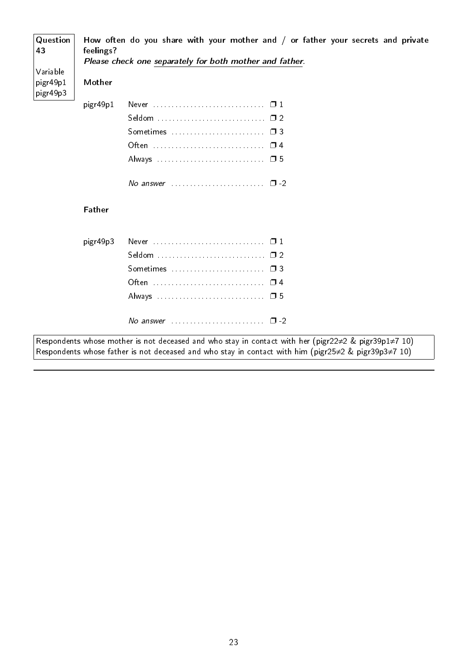| Question<br>43                   | feelings?     | How often do you share with your mother and / or father your secrets and private<br>Please check one separately for both mother and father.                                                                                              |
|----------------------------------|---------------|------------------------------------------------------------------------------------------------------------------------------------------------------------------------------------------------------------------------------------------|
| Variable<br>pigr49p1<br>pigr49p3 | Mother        |                                                                                                                                                                                                                                          |
|                                  | pigr49p1      |                                                                                                                                                                                                                                          |
|                                  |               |                                                                                                                                                                                                                                          |
|                                  |               | Sometimes $\ldots$ , $\ldots$ , $\ldots$ , $\Box$ 3                                                                                                                                                                                      |
|                                  |               |                                                                                                                                                                                                                                          |
|                                  |               |                                                                                                                                                                                                                                          |
|                                  |               | No answer $\ldots$ , $\ldots$ , $\ldots$ , $\Box$ -2                                                                                                                                                                                     |
|                                  | <b>Father</b> |                                                                                                                                                                                                                                          |
|                                  | pigr49p3      |                                                                                                                                                                                                                                          |
|                                  |               |                                                                                                                                                                                                                                          |
|                                  |               |                                                                                                                                                                                                                                          |
|                                  |               |                                                                                                                                                                                                                                          |
|                                  |               |                                                                                                                                                                                                                                          |
|                                  |               | No answer $\cdots$ $\cdots$ $\cdots$                                                                                                                                                                                                     |
|                                  |               | Respondents whose mother is not deceased and who stay in contact with her (pigr22 $\neq$ 2 & pigr39p1 $\neq$ 7 10)<br>Respondents whose father is not deceased and who stay in contact with him (pigr25 $\neq$ 2 & pigr39p3 $\neq$ 7 10) |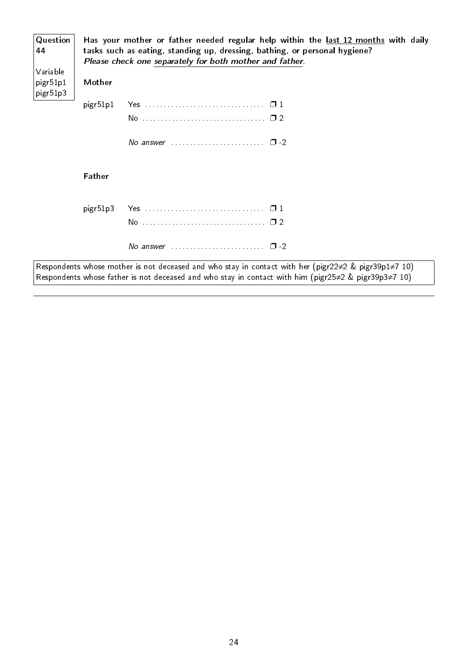| Question<br>44<br>Variable |               | Has your mother or father needed regular help within the last 12 months with daily<br>tasks such as eating, standing up, dressing, bathing, or personal hygiene?<br>Please check one separately for both mother and father. |
|----------------------------|---------------|-----------------------------------------------------------------------------------------------------------------------------------------------------------------------------------------------------------------------------|
| pigr51p1<br>pigr51p3       | Mother        |                                                                                                                                                                                                                             |
|                            | pigr51p1      |                                                                                                                                                                                                                             |
|                            |               |                                                                                                                                                                                                                             |
|                            |               | No answer $\ldots \ldots \ldots \ldots \ldots \ldots \square$ -2                                                                                                                                                            |
|                            | <b>Father</b> |                                                                                                                                                                                                                             |
|                            | pigr51p3      |                                                                                                                                                                                                                             |
|                            |               |                                                                                                                                                                                                                             |
|                            |               | No answer $\ldots$ $\ldots$ $\ldots$ $\ldots$ $\ldots$ $\Box$ -2                                                                                                                                                            |
|                            |               | Respondents whose mother is not deceased and who stay in contact with her (pigr22 $\neq$ 2 & pigr39p1 $\neq$ 7 10)                                                                                                          |

Respondents whose father is not deceased and who stay in contact with him (pigr25≠2 & pigr39p3≠7 10)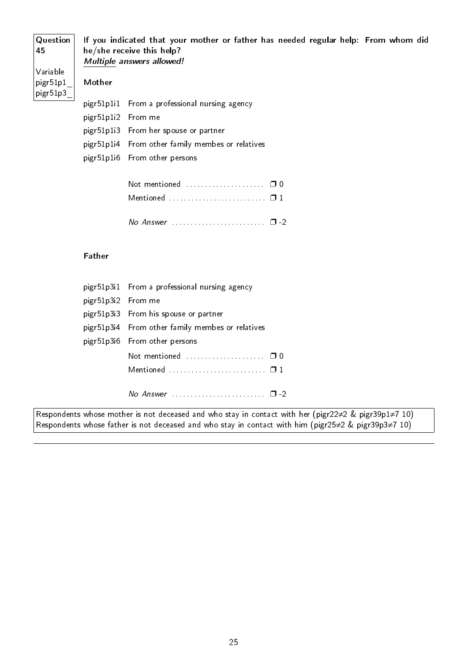Question 45 Variable pigr51p1\_ pigr51p3\_ If you indicated that your mother or father has needed regular help: From whom did he/she receive this help? Multiple answers allowed! Mother pigr51p1i1 From a professional nursing agency pigr51p1i2 From me pigr51p1i3 From her spouse or partner pigr51p1i4 From other family membes or relatives

pigr51p1i6 From other persons

| Not mentioned $\ldots$ , $\ldots$ , $\Box$ 0                  |  |
|---------------------------------------------------------------|--|
| Mentioned $\ldots, \ldots, \ldots, \ldots, \ldots, \square$ 1 |  |
|                                                               |  |

#### Father

|                    | pigr51p3i1 From a professional nursing agency                       |
|--------------------|---------------------------------------------------------------------|
| pigr51p3i2 From me |                                                                     |
|                    | pigr51p3i3 From his spouse or partner                               |
|                    | pigr51p3i4 From other family membes or relatives                    |
|                    | pigr51p3i6 From other persons                                       |
|                    |                                                                     |
|                    |                                                                     |
|                    |                                                                     |
|                    | No Answer $\ldots \ldots \ldots \ldots \ldots \ldots \quad \Box$ -2 |

Respondents whose mother is not deceased and who stay in contact with her (pigr22≠2 & pigr39p1≠7 10) Respondents whose father is not deceased and who stay in contact with him (pigr25≠2 & pigr39p3≠7 10)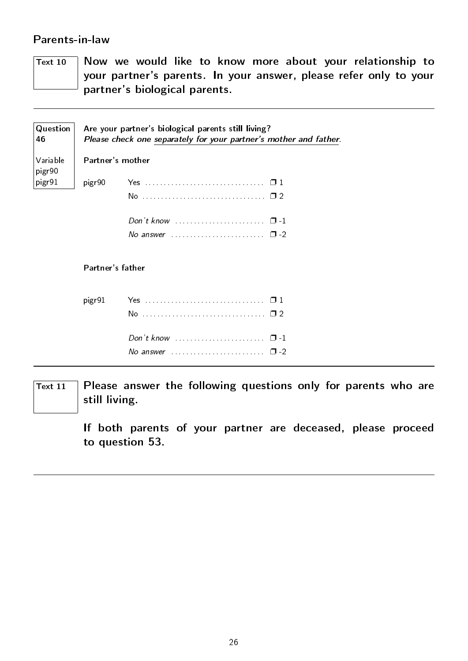## <span id="page-27-0"></span>Parents-in-law

 $\overline{T_{\text{ext 10}}$  Now we would like to know more about your relationship to your partner's parents. In your answer, please refer only to your partner's biological parents.

| Question<br>46     |                  | Are your partner's biological parents still living?<br>Please check one separately for your partner's mother and father. |  |
|--------------------|------------------|--------------------------------------------------------------------------------------------------------------------------|--|
| Variable<br>pigr90 |                  | Partner's mother                                                                                                         |  |
| pigr91             | pigr90           |                                                                                                                          |  |
|                    |                  |                                                                                                                          |  |
|                    |                  | Don't know $\cdots$ $\cdots$ $\cdots$ $\cdots$                                                                           |  |
|                    |                  | No answer $\ldots$ , $\ldots$ , $\ldots$ , $\Box$ -2                                                                     |  |
|                    | Partner's father |                                                                                                                          |  |
|                    | pigr91           |                                                                                                                          |  |
|                    |                  |                                                                                                                          |  |
|                    |                  |                                                                                                                          |  |
|                    |                  | No answer $\ldots$ , $\ldots$ , $\ldots$ , $\Box$ -2                                                                     |  |

 $\overline{T_{\text{ext}}$  11 Please answer the following questions only for parents who are still living.

> If both parents of your partner are deceased, please proceed to question 53.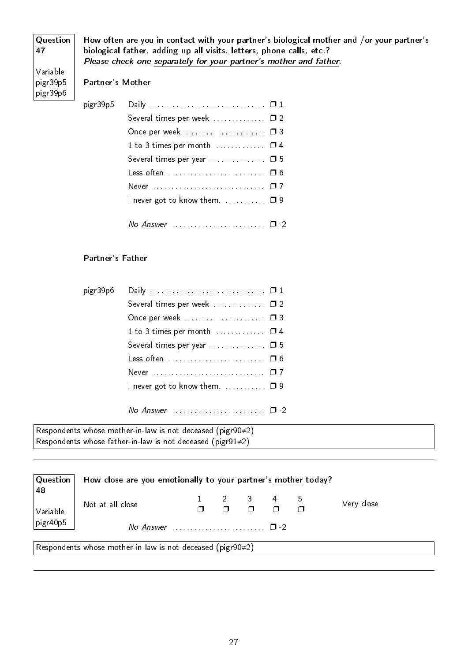| Question<br>47                          |                         | How often are you in contact with your partner's biological mother and /or your partner's<br>biological father, adding up all visits, letters, phone calls, etc.?<br>Please check one separately for your partner's mother and father. |
|-----------------------------------------|-------------------------|----------------------------------------------------------------------------------------------------------------------------------------------------------------------------------------------------------------------------------------|
| Variable<br>$ $ pigr $39p5$<br>pigr39p6 | <b>Partner's Mother</b> |                                                                                                                                                                                                                                        |
|                                         | pigr39p5                |                                                                                                                                                                                                                                        |
|                                         |                         | Several times per week  0 2                                                                                                                                                                                                            |
|                                         |                         |                                                                                                                                                                                                                                        |
|                                         |                         |                                                                                                                                                                                                                                        |

| 1 to 3 times per month $\ldots$ $\Box$ 4    |  |
|---------------------------------------------|--|
|                                             |  |
| Less often  06                              |  |
|                                             |  |
| I never got to know them. $\ldots$ $\Box$ 9 |  |
|                                             |  |
|                                             |  |

#### Partner's Father

| pigr39p6 |                                                            |  |
|----------|------------------------------------------------------------|--|
|          | Several times per week  02                                 |  |
|          | Once per week  03                                          |  |
|          | 1 to 3 times per month $\ldots$ $\Box$ 4                   |  |
|          | Several times per year $\ldots$ $\Box$ 5                   |  |
|          | Less often  06                                             |  |
|          |                                                            |  |
|          | I never got to know them. $\ldots \ldots \ldots \square$ 9 |  |
|          |                                                            |  |
|          |                                                            |  |

Respondents whose mother-in-law is not deceased (pigr90≠2) Respondents whose father-in-law is not deceased (pigr91≠2)

| $\vert$ Question $\vert$ | How close are you emotionally to your partner's mother today?     |  |  |  |                                                                                            |  |            |  |
|--------------------------|-------------------------------------------------------------------|--|--|--|--------------------------------------------------------------------------------------------|--|------------|--|
| 48<br>$\vert$ Variable   | Not at all close                                                  |  |  |  | $\begin{array}{cccccccc}\n2 & 3 & 4 & 5 \\ \hline\n\Box & \Box & \Box & \Box\n\end{array}$ |  | Very close |  |
| $ $ pigr40p5             |                                                                   |  |  |  |                                                                                            |  |            |  |
|                          | Respondents whose mother-in-law is not deceased (pigr90 $\neq$ 2) |  |  |  |                                                                                            |  |            |  |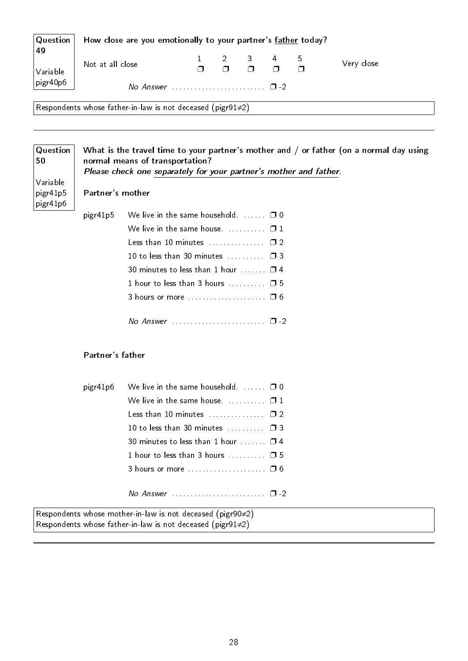| $\mid$ Question $\mid$                                            | How close are you emotionally to your partner's father today? |  |  |  |                                                                  |  |            |
|-------------------------------------------------------------------|---------------------------------------------------------------|--|--|--|------------------------------------------------------------------|--|------------|
| 49<br>Variable                                                    | Not at all close                                              |  |  |  | $\begin{array}{ccccccccc}\n2 & 3 & 4 & 5 \\ \hline\n\end{array}$ |  | Very close |
| pi                                                                |                                                               |  |  |  |                                                                  |  |            |
| Respondents whose father-in-law is not deceased (pigr91 $\neq$ 2) |                                                               |  |  |  |                                                                  |  |            |

| Question<br>50<br>Variable<br>pigr41p5<br>pigr41p6 | Partner's mother | What is the travel time to your partner's mother and / or father (on a normal day using<br>normal means of transportation?<br>Please check one separately for your partner's mother and father. |
|----------------------------------------------------|------------------|-------------------------------------------------------------------------------------------------------------------------------------------------------------------------------------------------|
|                                                    | pigr41p5         | We live in the same household. $\Box$ $\Box$ 0                                                                                                                                                  |
|                                                    |                  |                                                                                                                                                                                                 |
|                                                    |                  | Less than 10 minutes $\Box$                                                                                                                                                                     |
|                                                    |                  | 10 to less than 30 minutes $\Box$ 3                                                                                                                                                             |
|                                                    |                  | 30 minutes to less than 1 hour $\Box$ 4                                                                                                                                                         |
|                                                    |                  | 1 hour to less than 3 hours $\Box$ $\Box$ 5                                                                                                                                                     |
|                                                    |                  | 3 hours or more  0 6                                                                                                                                                                            |
|                                                    |                  |                                                                                                                                                                                                 |
|                                                    | Partner's father |                                                                                                                                                                                                 |
|                                                    |                  | pigr41p6 We live in the same household<br>┌┓⋂                                                                                                                                                   |

| $\mu$ gr41 $\mu$ 0 ve live in the same nousehold. $\dots \dots \dots$ |  |
|-----------------------------------------------------------------------|--|
|                                                                       |  |
| Less than 10 minutes $\ldots$ $\Box$ 2                                |  |
| 10 to less than 30 minutes $\Box$ $\Box$ 3                            |  |
| 30 minutes to less than 1 hour $\Box$ $\Box$ 4                        |  |
| 1 hour to less than 3 hours $\Box$ $\Box$ 5                           |  |
| 3 hours or more $\ldots$ , $\ldots$ , $\ldots$ , $\Box$ 6             |  |
|                                                                       |  |
|                                                                       |  |

Respondents whose mother-in-law is not deceased (pigr90≠2) Respondents whose father-in-law is not deceased (pigr $91\!\!\neq\!\!2)$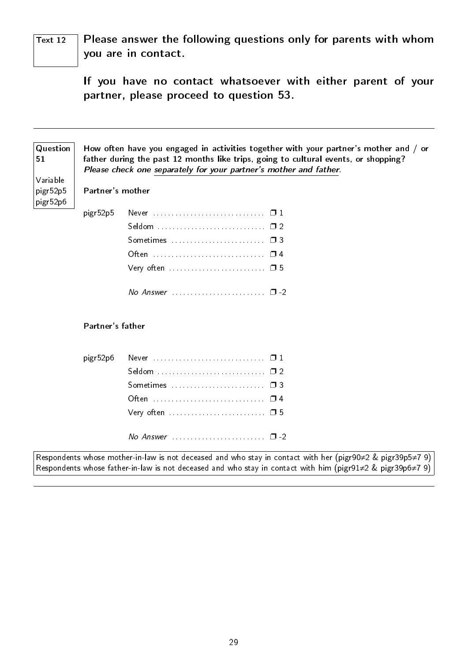$\overline{T_{\text{ext}}$  12 Please answer the following questions only for parents with whom you are in contact.

> If you have no contact whatsoever with either parent of your partner, please proceed to question 53.

| Question<br>51                   |                  | How often have you engaged in activities together with your partner's mother and / or<br>father during the past 12 months like trips, going to cultural events, or shopping?<br>Please check one separately for your partner's mother and father. |
|----------------------------------|------------------|---------------------------------------------------------------------------------------------------------------------------------------------------------------------------------------------------------------------------------------------------|
| Variable<br>pigr52p5<br>pigr52p6 | Partner's mother |                                                                                                                                                                                                                                                   |
|                                  | pigr52p5         |                                                                                                                                                                                                                                                   |
|                                  |                  |                                                                                                                                                                                                                                                   |
|                                  |                  |                                                                                                                                                                                                                                                   |
|                                  |                  |                                                                                                                                                                                                                                                   |
|                                  |                  | Very often $\dots\dots\dots\dots\dots\dots\dots\dots\quad \Box$ 5                                                                                                                                                                                 |
|                                  |                  | No Answer $\ldots \ldots \ldots \ldots \ldots \ldots \quad \Box$ -2                                                                                                                                                                               |
|                                  | Partner's father |                                                                                                                                                                                                                                                   |
|                                  | pigr52p6         |                                                                                                                                                                                                                                                   |
|                                  |                  |                                                                                                                                                                                                                                                   |
|                                  |                  |                                                                                                                                                                                                                                                   |
|                                  |                  | Often  04                                                                                                                                                                                                                                         |
|                                  |                  | Very often  05                                                                                                                                                                                                                                    |
|                                  |                  |                                                                                                                                                                                                                                                   |

Respondents whose mother-in-law is not deceased and who stay in contact with her (pigr90≠2 & pigr39p5≠7 9) Respondents whose father-in-law is not deceased and who stay in contact with him (pigr91≠2 & pigr39p6≠7 9)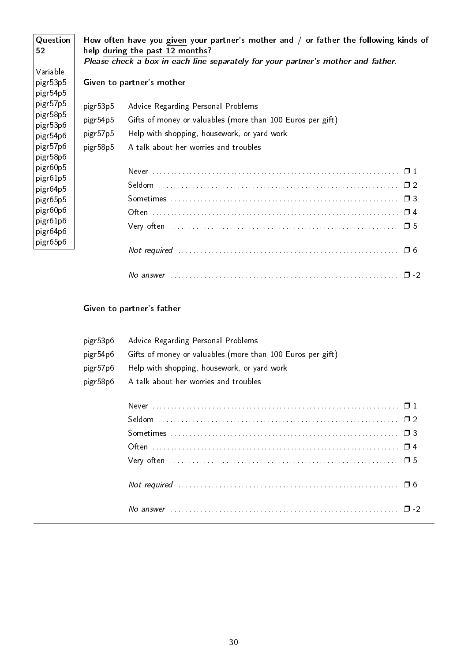| Question<br>52                                                                                                                         |                                              | How often have you given your partner's mother and / or father the following kinds of<br>help during the past 12 months?<br>Please check a box in each line separately for your partner's mother and father. |
|----------------------------------------------------------------------------------------------------------------------------------------|----------------------------------------------|--------------------------------------------------------------------------------------------------------------------------------------------------------------------------------------------------------------|
| Variable<br>$ $ pigr $53p5$<br>$ $ pigr $54p5$                                                                                         |                                              | Given to partner's mother                                                                                                                                                                                    |
| $ $ pigr $57p5$<br>$ $ pigr $58p5$<br>$ $ pigr $53p6$<br>$ $ pigr $54p6$<br>$ $ pigr $57p6$<br>$ $ pigr $58p6$                         | pigr53p5<br>pigr54p5<br>pigr57p5<br>pigr58p5 | Advice Regarding Personal Problems<br>Gifts of money or valuables (more than 100 Euros per gift)<br>Help with shopping, housework, or yard work<br>A talk about her worries and troubles                     |
| $ $ pigr $60p5$<br>$ $ pigr $61p5$<br>$ $ pigr $64p5$<br>$ $ pigr $65p5$<br>pigr60p6<br>$ $ pigr $61p6$<br>pigr64p6<br>$ $ pigr $65p6$ |                                              |                                                                                                                                                                                                              |
|                                                                                                                                        |                                              | Not required $\ldots$ $\ldots$ $\ldots$ $\ldots$ $\ldots$ $\ldots$ $\ldots$ $\ldots$ $\ldots$ $\ldots$ $\ldots$ $\ldots$ $\Box$ 6                                                                            |

| 'VL.<br>. |  |  |
|-----------|--|--|
|-----------|--|--|

## Given to partner's father

| pigr53p6 | Advice Regarding Personal Problems                         |
|----------|------------------------------------------------------------|
| pigr54p6 | Gifts of money or valuables (more than 100 Euros per gift) |
| pigr57p6 | Help with shopping, housework, or yard work                |
| pigr58p6 | A talk about her worries and troubles                      |
|          |                                                            |
|          |                                                            |
|          |                                                            |
|          |                                                            |
|          |                                                            |
|          |                                                            |
|          |                                                            |
|          |                                                            |
|          |                                                            |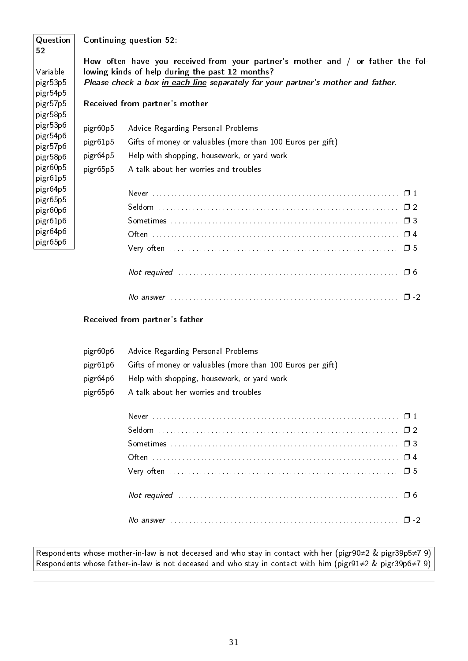| Question<br>52                          | <b>Continuing question 52:</b>                                                                                                                                                                                         |
|-----------------------------------------|------------------------------------------------------------------------------------------------------------------------------------------------------------------------------------------------------------------------|
| Variable<br>$ $ pigr $53p5$<br>pigr54p5 | How often have you received from your partner's mother and / or father the fol-<br>lowing kinds of help during the past 12 months?<br>Please check a box in each line separately for your partner's mother and father. |
| pigr57p5<br>pigr58p5                    | Received from partner's mother                                                                                                                                                                                         |
| $ $ pigr $53p6$                         | pigr60p5<br>Advice Regarding Personal Problems                                                                                                                                                                         |
| $ $ pigr $54p6$<br>$ $ pigr $57p6$      | pigr61p5<br>Gifts of money or valuables (more than 100 Euros per gift)                                                                                                                                                 |
| pigr58p6                                | pigr64p5<br>Help with shopping, housework, or yard work                                                                                                                                                                |
| pigr60p5<br>$ $ pigr61p5                | A talk about her worries and troubles<br>pigr65p5                                                                                                                                                                      |
| pigr64p5                                |                                                                                                                                                                                                                        |
| pigr65p5<br>pigr60p6                    |                                                                                                                                                                                                                        |
| pigr61p6                                |                                                                                                                                                                                                                        |
| pigr64p6                                |                                                                                                                                                                                                                        |
| pigr65p6                                | $\Box$ 5                                                                                                                                                                                                               |

| No answer |  |  |  |  |  |  |  |  |  |  |  |  |  |  |  |  |  |  |  |
|-----------|--|--|--|--|--|--|--|--|--|--|--|--|--|--|--|--|--|--|--|

Not required . . . . . . . . . . . . . . . . . . . . . . . . . . . . . . . . . . . . . . . . . . . . . . . . . . . . . . . . . . . ❐ 6

#### Received from partner's father

| pigr60p6 | Advice Regarding Personal Problems                         |
|----------|------------------------------------------------------------|
| pigr61p6 | Gifts of money or valuables (more than 100 Euros per gift) |
| pigr64p6 | Help with shopping, housework, or yard work                |
| pigr65p6 | A talk about her worries and troubles                      |

Respondents whose mother-in-law is not deceased and who stay in contact with her (pigr90≠2 & pigr39p5≠7 9) Respondents whose father-in-law is not deceased and who stay in contact with him (pigr91≠2 & pigr39p6≠7 9)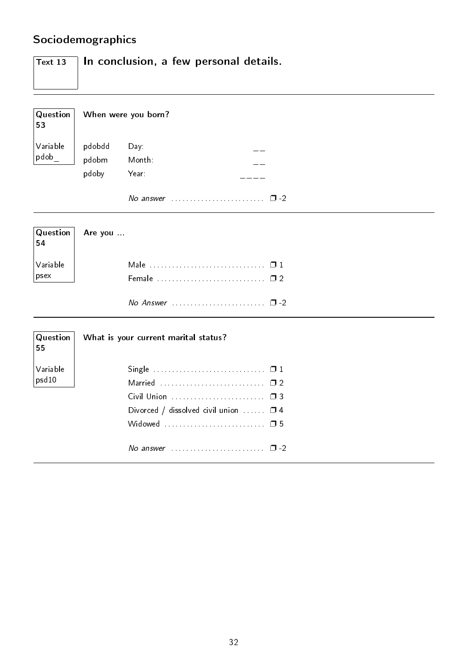# <span id="page-33-0"></span>Sociodemographics

| $\vert$ Text 13 | In conclusion, a few personal details. |
|-----------------|----------------------------------------|
| Question<br>53  | When were you born?                    |
| Variable        | pdobdd<br>$Day -$                      |

| pdob | $545545$ $547$ |                                               |
|------|----------------|-----------------------------------------------|
|      | pdobm Month:   |                                               |
|      | pdoby Year:    |                                               |
|      |                | No answer $\cdots$ $\cdots$ $\cdots$ $\cdots$ |

|                              | Question <b>Are you</b> |
|------------------------------|-------------------------|
| $\vert$ Variable<br>$ $ psex |                         |
|                              |                         |

| No Answer |  | $\mathbf{1}$ $\mathbf{1}$ |
|-----------|--|---------------------------|
|-----------|--|---------------------------|

| Question<br>55    | What is your current marital status?                                       |
|-------------------|----------------------------------------------------------------------------|
| Variable<br>psd10 | Married  □ 2<br>Divorced / dissolved civil union $\Box$ $\Box$ 4           |
|                   | No answer $\ldots \ldots \ldots \ldots \ldots \ldots \ldots \quad \Box$ -2 |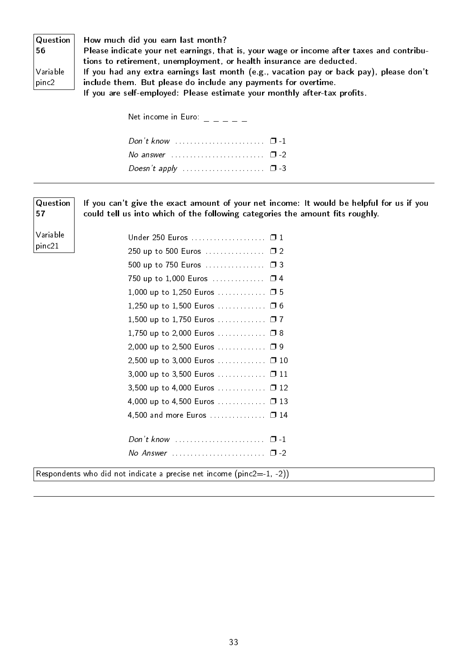| Question<br>56    |
|-------------------|
| Variable<br>pinc2 |

57

Variable pinc21

How much did you earn last month?

Please indicate your net earnings, that is, your wage or income after taxes and contributions to retirement, unemployment, or health insurance are deducted. If you had any extra earnings last month (e.g., vacation pay or back pay), please don't include them. But please do include any payments for overtime.

If you are self-employed: Please estimate your monthly after-tax profits.

| Net income in Euro: $\frac{1}{1}$ $\frac{1}{1}$ $\frac{1}{1}$ $\frac{1}{1}$ |  |
|-----------------------------------------------------------------------------|--|
|                                                                             |  |
| No answer $\ldots \ldots \ldots \ldots \ldots \ldots \quad \Box$ -2         |  |
|                                                                             |  |
|                                                                             |  |

**Question** If you can't give the exact amount of your net income: It would be helpful for us if you could tell us into which of the following categories the amount fits roughly.

| Under 250 Euros □ 1                     |  |
|-----------------------------------------|--|
| 250 up to 500 Euros  □ 2                |  |
| 500 up to 750 Euros  □ 3                |  |
| 750 up to 1,000 Euros  □ 4              |  |
| $1,000$ up to $1,250$ Euros $\square$ 5 |  |
| 1,250 up to 1,500 Euros  0 6            |  |
| 1,500 up to 1,750 Euros □ 7             |  |
| 1,750 up to 2,000 Euros  □ 8            |  |
| 2,000 up to 2,500 Euros  □ 9            |  |
| 2,500 up to 3,000 Euros  □ 10           |  |
| 3,000 up to 3,500 Euros  □ 11           |  |
| 3,500 up to 4,000 Euros □ 12            |  |
| 4,000 up to 4,500 Euros  0 13           |  |
| 4,500 and more Euros □ 14               |  |
|                                         |  |
|                                         |  |
|                                         |  |
|                                         |  |

Respondents who did not indicate a precise net income  $(pinc2=1, -2)$ )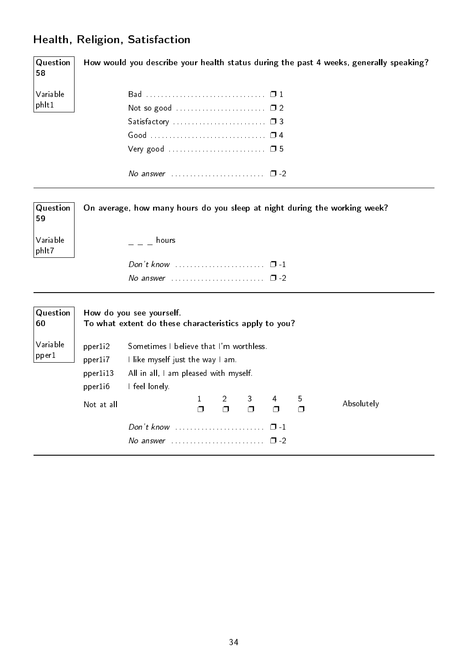## <span id="page-35-0"></span>Health, Religion, Satisfaction

Question 58 Variable phlt1 How would you describe your health status during the past 4 weeks, generally speaking? Bad . . . . . . . . . . . . . . . . . . . . . . . . . . . . . . . . ❐ 1 Not so good . . . . . . . . . . . . . . . . . . . . . . . . ❐ 2 Satisfactory . . . . . . . . . . . . . . . . . . . . . . . . . ❐ 3 Good . . . . . . . . . . . . . . . . . . . . . . . . . . . . . . . ❐ 4 Very good . . . . . . . . . . . . . . . . . . . . . . . . . . ❐ 5 No answer  $\dots\dots\dots\dots\dots\dots$   $\Box$  -2

| Question<br>59    |            |                                                                                   |              |                |                |        |        | On average, how many hours do you sleep at night during the working week? |
|-------------------|------------|-----------------------------------------------------------------------------------|--------------|----------------|----------------|--------|--------|---------------------------------------------------------------------------|
| Variable<br>phlt7 |            | hours                                                                             |              |                |                |        |        |                                                                           |
|                   |            | Don't know $\ldots \ldots \ldots \ldots \ldots \ldots \quad \Box$ -1              |              |                |                |        |        |                                                                           |
|                   |            | No answer $\ldots \ldots \ldots \ldots \ldots \ldots \square$ -2                  |              |                |                |        |        |                                                                           |
| Question<br>60    |            | How do you see yourself.<br>To what extent do these characteristics apply to you? |              |                |                |        |        |                                                                           |
| Variable          | pper1i2    | Sometimes I believe that I'm worthless.<br>I like myself just the way I am.       |              |                |                |        |        |                                                                           |
| pper1             | pper1i7    |                                                                                   |              |                |                |        |        |                                                                           |
|                   | pper1i13   | All in all, I am pleased with myself.                                             |              |                |                |        |        |                                                                           |
|                   | pper1i6    | I feel lonely.                                                                    |              |                |                |        |        |                                                                           |
|                   | Not at all |                                                                                   | $\mathbf{1}$ | $\overline{2}$ | 3 <sup>1</sup> | 4      | 5      | Absolutely                                                                |
|                   |            |                                                                                   | $\Box$       | $\Box$         | $\Box$         | $\Box$ | $\Box$ |                                                                           |
|                   |            |                                                                                   |              |                |                |        |        |                                                                           |
|                   |            | No answer $\ldots \ldots \ldots \ldots \ldots \ldots \square$ -2                  |              |                |                |        |        |                                                                           |
|                   |            |                                                                                   |              |                |                |        |        |                                                                           |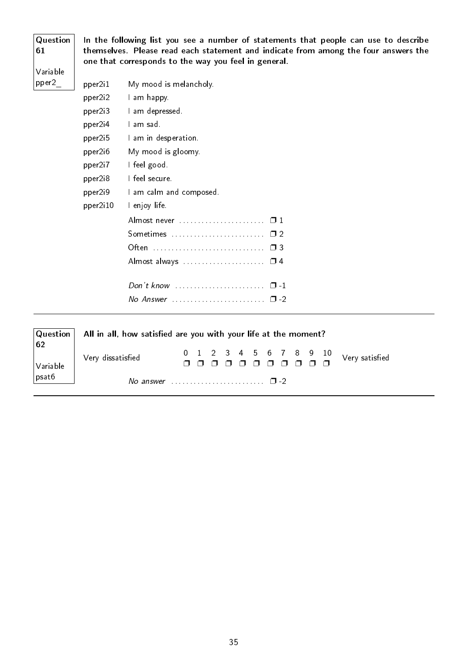| Question<br>61<br>Variable |                   | In the following list you see a number of statements that people can use to describe<br>themselves. Please read each statement and indicate from among the four answers the<br>one that corresponds to the way you feel in general. |
|----------------------------|-------------------|-------------------------------------------------------------------------------------------------------------------------------------------------------------------------------------------------------------------------------------|
| pper2                      | pper2i1           | My mood is melancholy.                                                                                                                                                                                                              |
|                            | pper2i2           | I am happy.                                                                                                                                                                                                                         |
|                            | pper2i3           | I am depressed.                                                                                                                                                                                                                     |
|                            | pper2i4           | l am sad.                                                                                                                                                                                                                           |
|                            | pper2i5           | I am in desperation.                                                                                                                                                                                                                |
|                            | pper2i6           | My mood is gloomy.                                                                                                                                                                                                                  |
|                            | pper2i7           | I feel good.                                                                                                                                                                                                                        |
|                            | pper2i8           | I feel secure                                                                                                                                                                                                                       |
|                            | pper2i9           | I am calm and composed.                                                                                                                                                                                                             |
|                            | pper2i10          | I enjoy life.                                                                                                                                                                                                                       |
|                            |                   |                                                                                                                                                                                                                                     |
|                            |                   |                                                                                                                                                                                                                                     |
|                            |                   |                                                                                                                                                                                                                                     |
|                            |                   | Almost always  0 4                                                                                                                                                                                                                  |
|                            |                   | Don't know $\ldots$ $\ldots$ $\ldots$ $\ldots$ $\ldots$ $\Box$ -1                                                                                                                                                                   |
|                            |                   |                                                                                                                                                                                                                                     |
| Question<br>62             |                   | All in all, how satisfied are you with your life at the moment?                                                                                                                                                                     |
| Variable                   | Very dissatisfied | 10<br>8<br>0<br>З<br>9<br>Very satisfied<br>$\Box$<br>$\Box$<br>$\Box$<br>$\Box$<br>$\Box$<br>$\Box$<br>⊓<br>$\Box$<br>$\Box$                                                                                                       |

No answer  $\dots\dots\dots\dots\dots\dots\dots$   $\square$  -2

psat6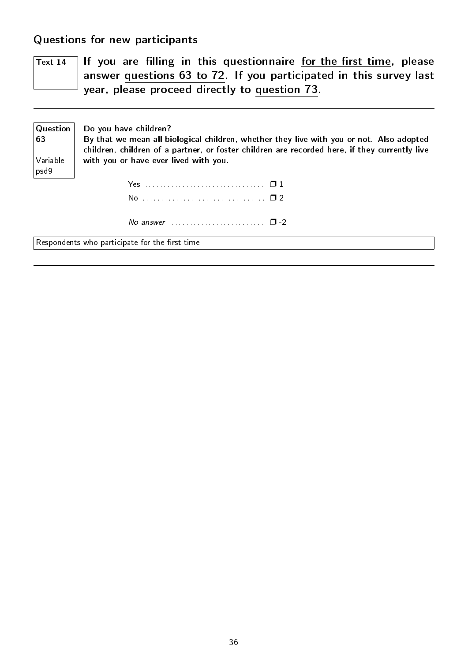<span id="page-37-0"></span>Questions for new participants

 $\overline{T_{\text{ext}}$  14 If you are filling in this questionnaire for the first time, please answer questions 63 to 72. If you participated in this survey last year, please proceed directly to question 73.

| Question  <br>63           | Do you have children?<br>By that we mean all biological children, whether they live with you or not. Also adopted<br>children, children of a partner, or foster children are recorded here, if they currently live |
|----------------------------|--------------------------------------------------------------------------------------------------------------------------------------------------------------------------------------------------------------------|
| $ {\sf Variable} $<br>psd9 | with you or have ever lived with you.                                                                                                                                                                              |
|                            |                                                                                                                                                                                                                    |
|                            |                                                                                                                                                                                                                    |
|                            | No answer $\ldots \ldots \ldots \ldots \ldots \ldots \square$ -2                                                                                                                                                   |

 $\sqrt{\frac{1}{1-\frac{1}{1-\frac{1}{1-\frac{1}{1-\frac{1}{1-\frac{1}{1-\frac{1}{1-\frac{1}{1-\frac{1}{1-\frac{1}{1-\frac{1}{1-\frac{1}{1-\frac{1}{1-\frac{1}{1-\frac{1}{1-\frac{1}{1-\frac{1}{1-\frac{1}{1-\frac{1}{1-\frac{1}{1-\frac{1}{1-\frac{1}{1-\frac{1}{1-\frac{1}{1-\frac{1}{1-\frac{1}{1-\frac{1}{1-\frac{1}{1-\frac{1}{1-\frac{1}{1-\frac{1}{1-\frac{1}{1-\frac{1}{1-\frac{1}{1-\frac{1}{1-\frac{1}{1-\frac$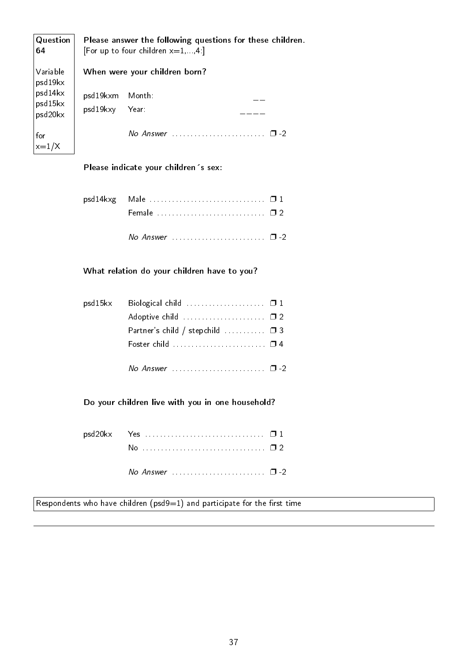| Question<br>64                  |                                   | Please answer the following questions for these children.<br>[For up to four children $x=1,,4$ :] |
|---------------------------------|-----------------------------------|---------------------------------------------------------------------------------------------------|
| Variable<br>psd19kx             |                                   | When were your children born?                                                                     |
| psd14kx<br>psd15kx<br>psd20kx   | psd19kxm Month:<br>psd19kxy Year: |                                                                                                   |
| for<br>$\left  \right $ x = 1/X |                                   | $No$ Answer<br>$\Box$                                                                             |

### Please indicate your children's sex:

| psd14kxg Male  01 |  |
|-------------------|--|
|                   |  |
|                   |  |

### What relation do your children have to you?

| psd15kx | Biological child $\ldots$ $\Box$ 1                                 |  |
|---------|--------------------------------------------------------------------|--|
|         | Adoptive child  02                                                 |  |
|         | Partner's child / stepchild $\ldots \ldots \ldots \square$ 3       |  |
|         | Foster child $\ldots \ldots \ldots \ldots \ldots \ldots \square$ 4 |  |
|         |                                                                    |  |

Do your children live with you in one household?

Respondents who have children ( $psd9=1$ ) and participate for the first time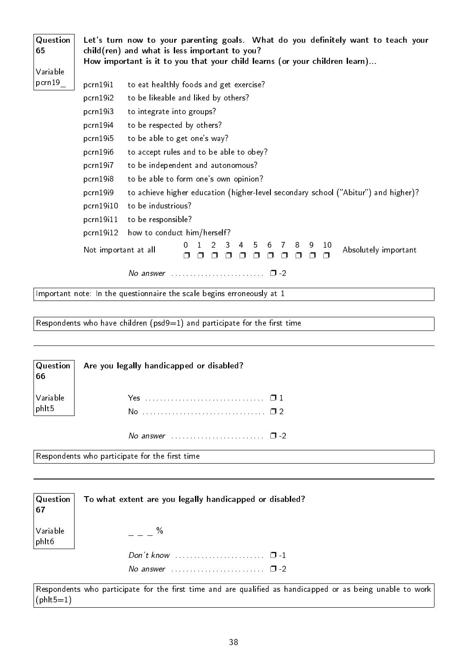| Variable<br>pcrn 19<br>pcrn19i1<br>to eat healthly foods and get exercise?                      |
|-------------------------------------------------------------------------------------------------|
|                                                                                                 |
|                                                                                                 |
| pcrn19i2<br>to be likeable and liked by others?                                                 |
| pcrn19i3<br>to integrate into groups?                                                           |
| pcrn 19i4<br>to be respected by others?                                                         |
| to be able to get one's way?<br>$pcrn$ 19 $i5$                                                  |
| to accept rules and to be able to obey?<br>pcrn19i6                                             |
| to be independent and autonomous?<br>pcrn19i7                                                   |
| pcrn19i8<br>to be able to form one's own opinion?                                               |
| pcrn 19i9<br>to achieve higher education (higher-level secondary school ("Abitur") and higher)? |
| pcrn19i10<br>to be industrious?                                                                 |
| pcrn19i11<br>to be responsible?                                                                 |
| pcrn19i12<br>how to conduct him/herself?                                                        |
| 3<br>4<br>0<br>5<br>6<br>8<br>9<br>10<br>7<br>Not important at all<br>Absolutely important      |
| No answer $\cdots$ $\cdots$ $\cdots$                                                            |
| Important note: In the questionnaire the scale begins erroneously at 1                          |

Respondents who have children (psd9=1) and participate for the first time

|                                             | $\begin{array}{ l l }\n\hline\n\end{array}$ Question $\begin{array}{ l l }\n\hline\n\end{array}$ Are you legally handicapped or disabled? |
|---------------------------------------------|-------------------------------------------------------------------------------------------------------------------------------------------|
| $\bigg \text{Variable} \atop \text{philt5}$ |                                                                                                                                           |
|                                             |                                                                                                                                           |
|                                             |                                                                                                                                           |

No answer . . . . . . . . . . . . . . . . . . . . . . . . . ❐ -2

Respondents who participate for the first time

| $\vert$ Question $\vert$<br>67 | To what extent are you legally handicapped or disabled?              |
|--------------------------------|----------------------------------------------------------------------|
| Variable<br>phlt6              | $\%$                                                                 |
|                                | Don't know $\ldots \ldots \ldots \ldots \ldots \ldots \quad \Box$ -1 |
|                                | No answer $\ldots \ldots \ldots \ldots \ldots \ldots \square$ -2     |

Respondents who participate for the first time and are qualified as handicapped or as being unable to work  $(\text{phil5}=1)$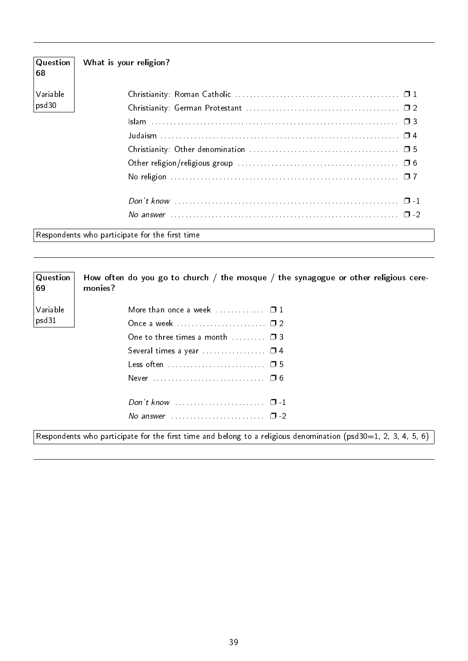| Question<br>68 | What is your religion?                                                                                                          |
|----------------|---------------------------------------------------------------------------------------------------------------------------------|
| Variable       |                                                                                                                                 |
| psd30          |                                                                                                                                 |
|                |                                                                                                                                 |
|                |                                                                                                                                 |
|                |                                                                                                                                 |
|                |                                                                                                                                 |
|                |                                                                                                                                 |
|                |                                                                                                                                 |
|                | No answer $\ldots$ $\ldots$ $\ldots$ $\ldots$ $\ldots$ $\ldots$ $\ldots$ $\ldots$ $\ldots$ $\ldots$ $\ldots$ $\ldots$ $\Box$ -2 |
|                | Respondents who participate for the first time                                                                                  |

| $\sqrt{Q}$ uestion<br> 69 | How often do you go to church / the mosque / the synagogue or other religious cere-<br>monies?                   |
|---------------------------|------------------------------------------------------------------------------------------------------------------|
| Variable                  | More than once a week $\ldots$ $\Box$ 1                                                                          |
| psd31                     |                                                                                                                  |
|                           | One to three times a month $\Box$                                                                                |
|                           | Several times a year $\ldots$ $\Box$ 4                                                                           |
|                           | Less often  05                                                                                                   |
|                           |                                                                                                                  |
|                           |                                                                                                                  |
|                           | No answer $\ldots \ldots \ldots \ldots \ldots \ldots \ldots \square$ -2                                          |
|                           | Respondents who participate for the first time and belong to a religious denomination (psd30=1, 2, 3, 4, 5, 6) [ |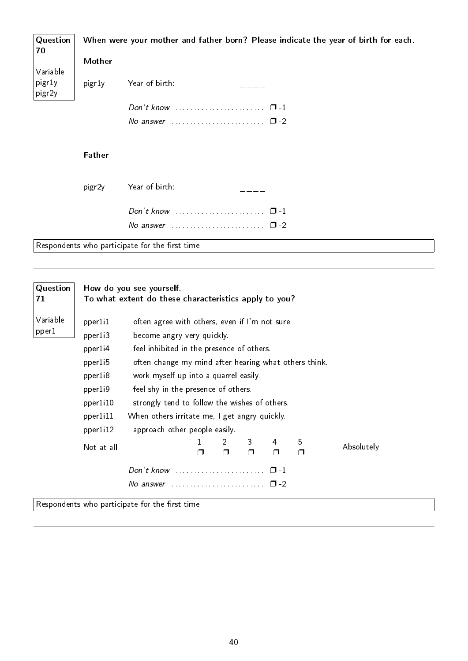| Question<br>70   |                    | When were your mother and father born? Please indicate the year of birth for each. |
|------------------|--------------------|------------------------------------------------------------------------------------|
|                  | Mother             |                                                                                    |
| Variable         |                    |                                                                                    |
| pigr1y<br>pigr2y | pigr1y             | Year of birth:                                                                     |
|                  |                    |                                                                                    |
|                  |                    | No answer $\ldots \ldots \ldots \ldots \ldots \ldots \square$ -2                   |
|                  |                    |                                                                                    |
|                  | <b>Father</b>      |                                                                                    |
|                  | pigr <sub>2y</sub> | Year of birth:                                                                     |
|                  |                    |                                                                                    |
|                  |                    | No answer $\ldots \ldots \ldots \ldots \ldots \ldots \quad \Box$ -2                |
|                  |                    | Respondents who participate for the first time                                     |
|                  |                    |                                                                                    |

| Question          | How do you see yourself.                                                               |                                                                                                                                                                                                                                                                                                                                                                                    |        |             |             |           |        |            |  |
|-------------------|----------------------------------------------------------------------------------------|------------------------------------------------------------------------------------------------------------------------------------------------------------------------------------------------------------------------------------------------------------------------------------------------------------------------------------------------------------------------------------|--------|-------------|-------------|-----------|--------|------------|--|
| 71                |                                                                                        | To what extent do these characteristics apply to you?                                                                                                                                                                                                                                                                                                                              |        |             |             |           |        |            |  |
| Variable<br>pper1 | pperli1<br>pper1i3<br>pper1i4<br>pperli5<br>pper1i8<br>pper1i9<br>pper1i10<br>pper1i11 | I often agree with others, even if I'm not sure.<br>I become angry very quickly.<br>I feel inhibited in the presence of others.<br>I often change my mind after hearing what others think.<br>I work myself up into a quarrel easily.<br>I feel shy in the presence of others.<br>I strongly tend to follow the wishes of others.<br>When others irritate me, I get angry quickly. |        |             |             |           |        |            |  |
|                   | pperli12                                                                               | I approach other people easily.                                                                                                                                                                                                                                                                                                                                                    |        |             |             |           |        |            |  |
|                   | Not at all                                                                             |                                                                                                                                                                                                                                                                                                                                                                                    | $\Box$ | 2<br>$\Box$ | 3<br>$\Box$ | 4<br>⊓    | 5<br>O | Absolutely |  |
|                   |                                                                                        |                                                                                                                                                                                                                                                                                                                                                                                    |        |             |             | $\Box$ -1 |        |            |  |
|                   |                                                                                        | No answer $\ldots \ldots \ldots \ldots \ldots \ldots \square$ -2                                                                                                                                                                                                                                                                                                                   |        |             |             |           |        |            |  |
|                   |                                                                                        | Respondents who participate for the first time                                                                                                                                                                                                                                                                                                                                     |        |             |             |           |        |            |  |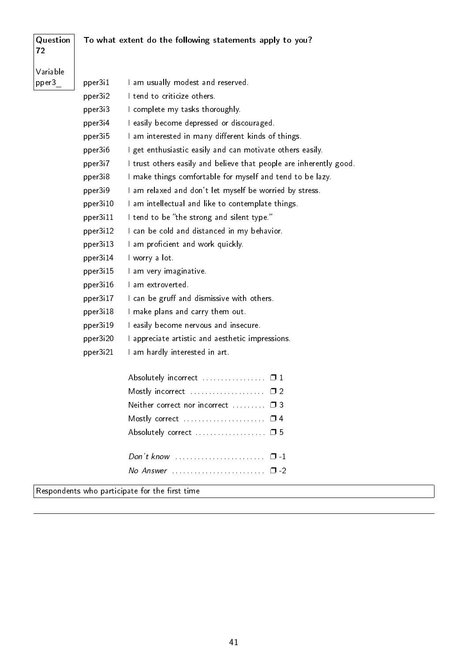| Question<br>72 | To what extent do the following statements apply to you? |                                                                    |  |  |  |  |
|----------------|----------------------------------------------------------|--------------------------------------------------------------------|--|--|--|--|
| Variable       |                                                          |                                                                    |  |  |  |  |
| pper3          | pper3i1                                                  | I am usually modest and reserved.                                  |  |  |  |  |
|                | pper3i2                                                  | I tend to criticize others.                                        |  |  |  |  |
|                | pper3i3                                                  | I complete my tasks thoroughly.                                    |  |  |  |  |
|                | pper3i4                                                  | I easily become depressed or discouraged.                          |  |  |  |  |
|                | pper3i5                                                  | I am interested in many different kinds of things.                 |  |  |  |  |
|                | pper3i6                                                  | I get enthusiastic easily and can motivate others easily.          |  |  |  |  |
|                | pper3i7                                                  | I trust others easily and believe that people are inherently good. |  |  |  |  |
|                | pper3i8                                                  | I make things comfortable for myself and tend to be lazy.          |  |  |  |  |
|                | pper3i9                                                  | I am relaxed and don't let myself be worried by stress.            |  |  |  |  |
|                | pper3i10                                                 | I am intellectual and like to contemplate things.                  |  |  |  |  |
|                | pper3i11                                                 | I tend to be "the strong and silent type."                         |  |  |  |  |
|                | pper3i12                                                 | I can be cold and distanced in my behavior.                        |  |  |  |  |
|                | pper3i13                                                 | I am proficient and work quickly.                                  |  |  |  |  |
|                | pper3i14                                                 | I worry a lot                                                      |  |  |  |  |
|                | pper3i15                                                 | I am very imaginative.                                             |  |  |  |  |
|                | pper3i16                                                 | l am extroverted.                                                  |  |  |  |  |
|                | pper3i17                                                 | I can be gruff and dismissive with others.                         |  |  |  |  |
|                | pper3i18                                                 | I make plans and carry them out.                                   |  |  |  |  |
|                | pper3i19                                                 | I easily become nervous and insecure.                              |  |  |  |  |
|                | pper3i20                                                 | I appreciate artistic and aesthetic impressions.                   |  |  |  |  |
|                | pper3i21                                                 | I am hardly interested in art.                                     |  |  |  |  |
|                |                                                          |                                                                    |  |  |  |  |
|                |                                                          |                                                                    |  |  |  |  |
|                |                                                          | Neither correct nor incorrect □ 3                                  |  |  |  |  |
|                |                                                          |                                                                    |  |  |  |  |
|                |                                                          | Absolutely correct  05                                             |  |  |  |  |
|                |                                                          | $\Box$ -1                                                          |  |  |  |  |
|                |                                                          |                                                                    |  |  |  |  |

 $\sqrt{\frac{1}{1-\frac{1}{1-\frac{1}{1-\frac{1}{1-\frac{1}{1-\frac{1}{1-\frac{1}{1-\frac{1}{1-\frac{1}{1-\frac{1}{1-\frac{1}{1-\frac{1}{1-\frac{1}{1-\frac{1}{1-\frac{1}{1-\frac{1}{1-\frac{1}{1-\frac{1}{1-\frac{1}{1-\frac{1}{1-\frac{1}{1-\frac{1}{1-\frac{1}{1-\frac{1}{1-\frac{1}{1-\frac{1}{1-\frac{1}{1-\frac{1}{1-\frac{1}{1-\frac{1}{1-\frac{1}{1-\frac{1}{1-\frac{1}{1-\frac{1}{1-\frac{1}{1-\frac{1}{1-\frac$